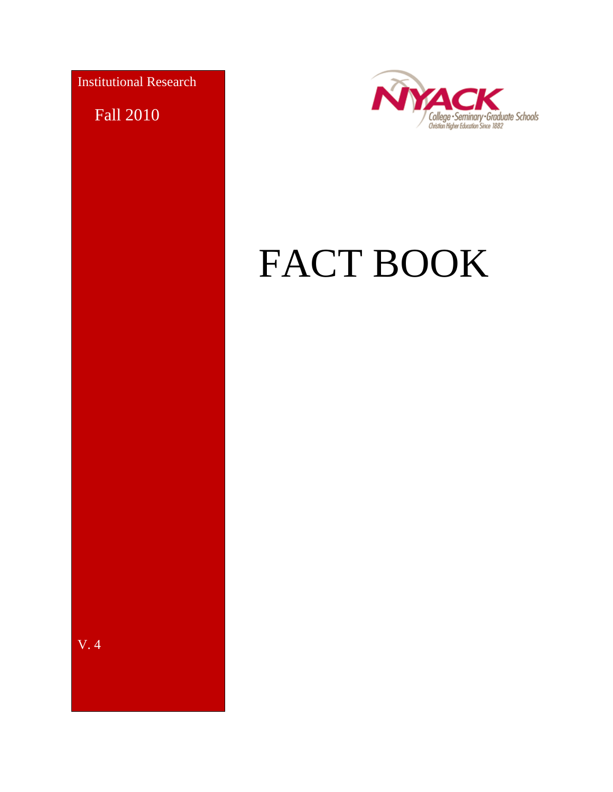Institutional Research

Fall 2010

V. 4



# FACT BOOK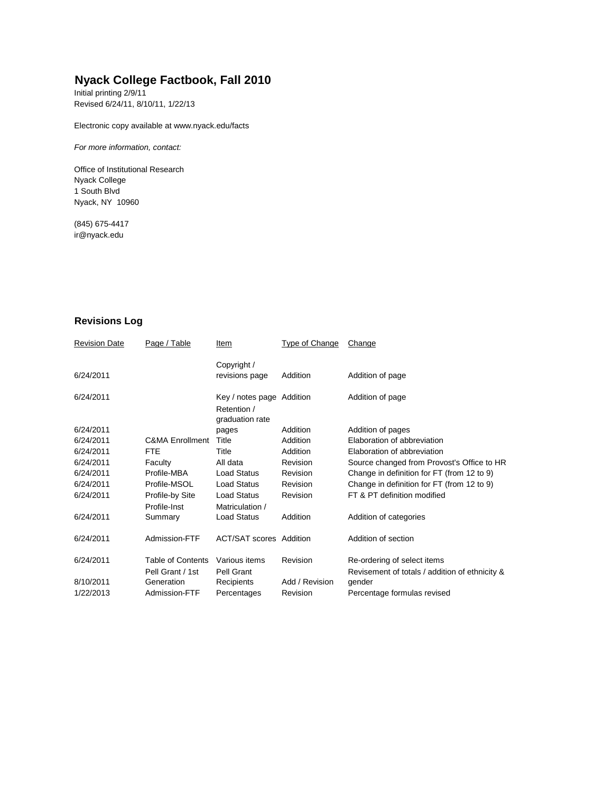#### **Nyack College Factbook, Fall 2010**

Initial printing 2/9/11 Revised 6/24/11, 8/10/11, 1/22/13

Electronic copy available at www.nyack.edu/facts

*For more information, contact:*

Office of Institutional Research Nyack College 1 South Blvd Nyack, NY 10960

(845) 675-4417 [ir@nyack.edu](mailto:ir@nyack.edu)

#### **Revisions Log**

| <b>Revision Date</b> | Page / Table               | Item                           | Type of Change | Change                                         |
|----------------------|----------------------------|--------------------------------|----------------|------------------------------------------------|
| 6/24/2011            |                            | Copyright /                    | Addition       |                                                |
|                      |                            | revisions page                 |                | Addition of page                               |
| 6/24/2011            |                            | Key / notes page Addition      |                | Addition of page                               |
|                      |                            | Retention /<br>graduation rate |                |                                                |
| 6/24/2011            |                            | pages                          | Addition       | Addition of pages                              |
| 6/24/2011            | <b>C&amp;MA Enrollment</b> | Title                          | Addition       | Elaboration of abbreviation                    |
| 6/24/2011            | FTE.                       | Title                          | Addition       | Elaboration of abbreviation                    |
| 6/24/2011            | Faculty                    | All data                       | Revision       | Source changed from Provost's Office to HR     |
| 6/24/2011            | Profile-MBA                | <b>Load Status</b>             | Revision       | Change in definition for FT (from 12 to 9)     |
| 6/24/2011            | Profile-MSOL               | Load Status                    | Revision       | Change in definition for FT (from 12 to 9)     |
| 6/24/2011            | Profile-by Site            | <b>Load Status</b>             | Revision       | FT & PT definition modified                    |
|                      | Profile-Inst               | Matriculation /                |                |                                                |
| 6/24/2011            | Summary                    | <b>Load Status</b>             | Addition       | Addition of categories                         |
| 6/24/2011            | Admission-FTF              | <b>ACT/SAT scores Addition</b> |                | Addition of section                            |
| 6/24/2011            | <b>Table of Contents</b>   | Various items                  | Revision       | Re-ordering of select items                    |
|                      | Pell Grant / 1st           | Pell Grant                     |                | Revisement of totals / addition of ethnicity & |
| 8/10/2011            | Generation                 | Recipients                     | Add / Revision | gender                                         |
| 1/22/2013            | Admission-FTF              | Percentages                    | Revision       | Percentage formulas revised                    |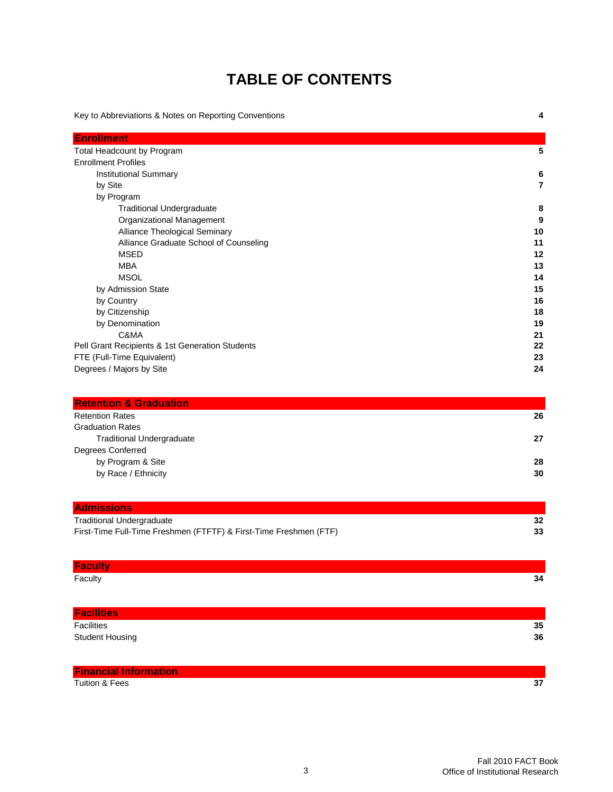#### **TABLE OF CONTENTS**

Key to Abbreviations & Notes on Reporting Conventions **4 Enrollment** Total Headcount by Program **5** Enrollment Profiles Institutional Summary **6** by Site **7** by Program Traditional Undergraduate **8** Organizational Management **9** Alliance Theological Seminary **10** Alliance Graduate School of Counseling **11** MSED **12** MBA **13** MSOL **14** by Admission State **15** by Country **16** by Citizenship **18** by Denomination **19** C&MA **21** Pell Grant Recipients & 1st Generation Students **22** FTE (Full-Time Equivalent) **23** Degrees / Majors by Site **24 Retention & Graduation** Retention Rates **26** Graduation Rates

| <b>Traditional Undergraduate</b> | 27 |
|----------------------------------|----|
| Degrees Conferred                |    |
| by Program & Site                | 28 |
| by Race / Ethnicity              | 30 |

| <b>Admissions</b>                                                 |    |
|-------------------------------------------------------------------|----|
| <b>Traditional Undergraduate</b>                                  | 32 |
| First-Time Full-Time Freshmen (FTFTF) & First-Time Freshmen (FTF) | 33 |

| <b>Faculty</b>               |    |
|------------------------------|----|
| Faculty                      | 34 |
|                              |    |
| <b>Facilities</b>            |    |
| Facilities                   | 35 |
| <b>Student Housing</b>       | 36 |
|                              |    |
| <b>Financial Information</b> |    |

Tuition & Fees **37**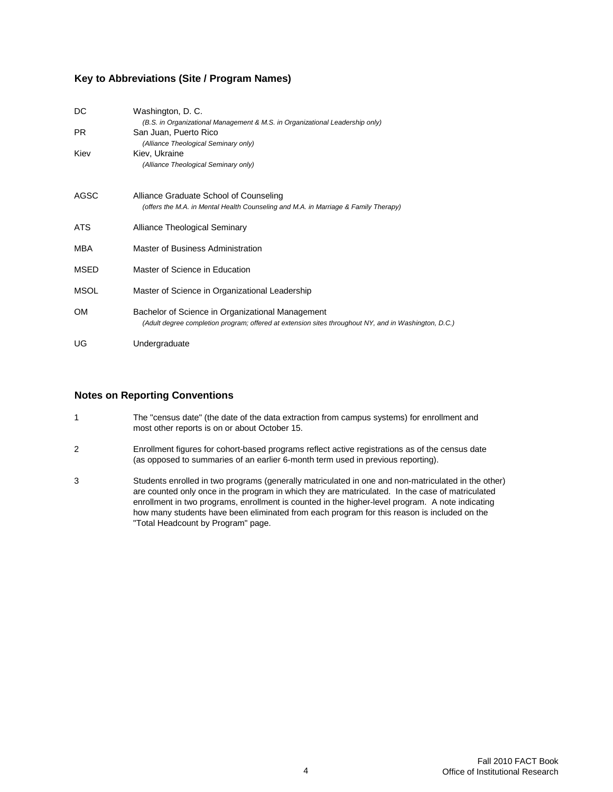#### **Key to Abbreviations (Site / Program Names)**

| DC        | Washington, D. C.<br>(B.S. in Organizational Management & M.S. in Organizational Leadership only)                                                        |
|-----------|----------------------------------------------------------------------------------------------------------------------------------------------------------|
| PR.       | San Juan, Puerto Rico<br>(Alliance Theological Seminary only)                                                                                            |
| Kiev      | Kiev, Ukraine<br>(Alliance Theological Seminary only)                                                                                                    |
| AGSC      | Alliance Graduate School of Counseling<br>(offers the M.A. in Mental Health Counseling and M.A. in Marriage & Family Therapy)                            |
| ATS.      | Alliance Theological Seminary                                                                                                                            |
| MBA       | Master of Business Administration                                                                                                                        |
| MSED      | Master of Science in Education                                                                                                                           |
| MSOL      | Master of Science in Organizational Leadership                                                                                                           |
| <b>OM</b> | Bachelor of Science in Organizational Management<br>(Adult degree completion program; offered at extension sites throughout NY, and in Washington, D.C.) |
| UG        | Undergraduate                                                                                                                                            |

#### **Notes on Reporting Conventions**

- 1 The "census date" (the date of the data extraction from campus systems) for enrollment and most other reports is on or about October 15.
- 2 Enrollment figures for cohort-based programs reflect active registrations as of the census date (as opposed to summaries of an earlier 6-month term used in previous reporting).
- 3 Students enrolled in two programs (generally matriculated in one and non-matriculated in the other) are counted only once in the program in which they are matriculated. In the case of matriculated enrollment in two programs, enrollment is counted in the higher-level program. A note indicating how many students have been eliminated from each program for this reason is included on the "Total Headcount by Program" page.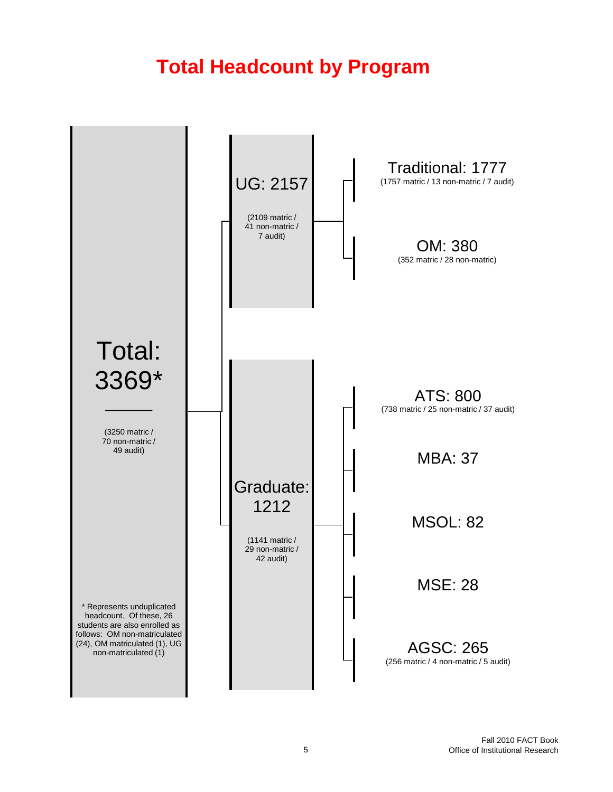# **Total Headcount by Program**

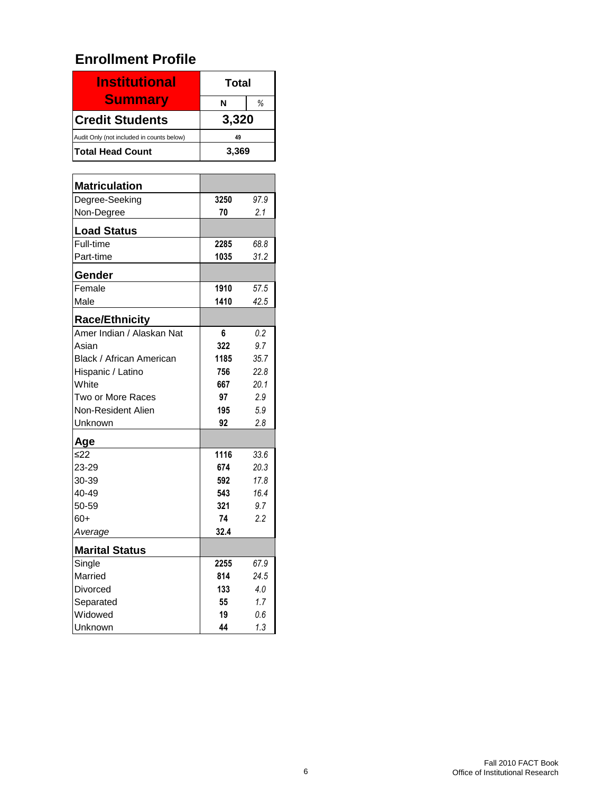#### **Enrollment Profile**

| <b>Institutional</b>                      | Total |   |
|-------------------------------------------|-------|---|
| <b>Summary</b>                            | N     | ℅ |
| <b>Credit Students</b>                    | 3,320 |   |
| Audit Only (not included in counts below) | 49    |   |
| <b>Total Head Count</b>                   | 3,369 |   |

| <b>Matriculation</b>      |      |      |
|---------------------------|------|------|
| Degree-Seeking            | 3250 | 97.9 |
| Non-Degree                | 70   | 2.1  |
| <b>Load Status</b>        |      |      |
| Full-time                 | 2285 | 68.8 |
| Part-time                 | 1035 | 31.2 |
| Gender                    |      |      |
| Female                    | 1910 | 57.5 |
| Male                      | 1410 | 42.5 |
| <b>Race/Ethnicity</b>     |      |      |
| Amer Indian / Alaskan Nat | 6    | 0.2  |
| Asian                     | 322  | 9.7  |
| Black / African American  | 1185 | 35.7 |
| Hispanic / Latino         | 756  | 22.8 |
| White                     | 667  | 20.1 |
| Two or More Races         | 97   | 2.9  |
| Non-Resident Alien        | 195  | 5.9  |
| Unknown                   | 92   | 2.8  |
| Age                       |      |      |
| $≤22$                     | 1116 | 33.6 |
| 23-29                     | 674  | 20.3 |
| 30-39                     | 592  | 17.8 |
| 40-49                     | 543  | 16.4 |
| 50-59                     | 321  | 9.7  |
| $60+$                     | 74   | 2.2  |
| Average                   | 32.4 |      |
| <b>Marital Status</b>     |      |      |
| Single                    | 2255 | 67.9 |
| Married                   | 814  | 24.5 |
| Divorced                  | 133  | 4.0  |
| Separated                 | 55   | 1.7  |
| Widowed                   | 19   | 0.6  |
| Unknown                   | 44   | 1.3  |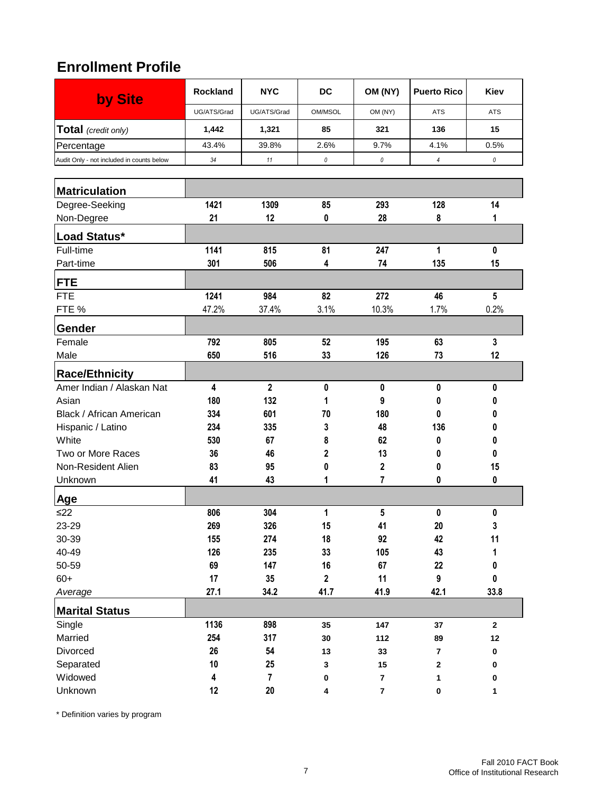#### **Enrollment Profile**

| by Site                                            | <b>Rockland</b> | <b>NYC</b>     | <b>DC</b>               | OM (NY)                 | <b>Puerto Rico</b>      | Kiev         |
|----------------------------------------------------|-----------------|----------------|-------------------------|-------------------------|-------------------------|--------------|
|                                                    | UG/ATS/Grad     | UG/ATS/Grad    | OM/MSOL                 | OM (NY)                 | <b>ATS</b>              | <b>ATS</b>   |
| Total (credit only)                                | 1,442           | 1,321          | 85                      | 321                     | 136                     | 15           |
| Percentage                                         | 43.4%           | 39.8%          | 2.6%                    | 9.7%                    | 4.1%                    | 0.5%         |
| Audit Only - not included in counts below          | 34              | 11             | 0                       | $\it{0}$                | $\overline{4}$          | $\it{0}$     |
|                                                    |                 |                |                         |                         |                         |              |
| <b>Matriculation</b>                               |                 |                |                         |                         |                         |              |
| Degree-Seeking                                     | 1421            | 1309           | 85                      | 293                     | 128                     | 14           |
| Non-Degree                                         | 21              | 12             | 0                       | 28                      | 8                       | 1            |
| Load Status*                                       |                 |                |                         |                         |                         |              |
| Full-time                                          | 1141            | 815            | 81                      | 247                     | 1                       | $\mathbf{0}$ |
| Part-time                                          | 301             | 506            | 4                       | 74                      | 135                     | 15           |
| <b>FTE</b>                                         |                 |                |                         |                         |                         |              |
| <b>FTE</b>                                         | 1241            | 984            | 82                      | 272                     | 46                      | 5            |
| FTE %                                              | 47.2%           | 37.4%          | 3.1%                    | 10.3%                   | 1.7%                    | 0.2%         |
| Gender                                             |                 |                |                         |                         |                         |              |
| Female                                             | 792             | 805            | 52                      | 195                     | 63                      | 3            |
| Male                                               | 650             | 516            | 33                      | 126                     | 73                      | 12           |
|                                                    |                 |                |                         |                         |                         |              |
| <b>Race/Ethnicity</b><br>Amer Indian / Alaskan Nat | 4               | $\mathbf 2$    | 0                       | 0                       | 0                       | 0            |
| Asian                                              | 180             | 132            | 1                       | 9                       | 0                       | 0            |
| Black / African American                           | 334             | 601            | 70                      | 180                     | 0                       | 0            |
| Hispanic / Latino                                  | 234             | 335            | 3                       | 48                      | 136                     |              |
| White                                              | 530             | 67             | 8                       | 62                      | 0                       | 0            |
| Two or More Races                                  | 36              | 46             | 2                       | 13                      | 0                       | 0            |
| Non-Resident Alien                                 | 83              | 95             | 0                       | 2                       | 0                       | 15           |
| Unknown                                            | 41              | 43             | 1                       | 7                       | 0                       | 0            |
| Age                                                |                 |                |                         |                         |                         |              |
| $\leq$ 22                                          | 806             | 304            | 1                       | 5                       | 0                       | 0            |
| 23-29                                              | 269             | 326            | 15                      | 41                      | $20\,$                  | 3            |
| 30-39                                              | 155             | 274            | 18                      | 92                      | 42                      | 11           |
| 40-49                                              | 126             | 235            | 33                      | 105                     | 43                      | 1            |
| 50-59                                              | 69              | 147            | 16                      | 67                      | 22                      | 0            |
| $60+$                                              | 17              | 35             | $\overline{\mathbf{2}}$ | 11                      | 9                       | 0            |
| Average                                            | 27.1            | 34.2           | 41.7                    | 41.9                    | 42.1                    | 33.8         |
| <b>Marital Status</b>                              |                 |                |                         |                         |                         |              |
| Single                                             | 1136            | 898            | 35                      | 147                     | 37                      | $\bf 2$      |
| Married                                            | 254             | 317            | 30                      | 112                     | 89                      | 12           |
| Divorced                                           | 26              | 54             | 13                      | 33                      | $\overline{\mathbf{7}}$ | $\pmb{0}$    |
| Separated                                          | 10              | 25             | 3                       | 15                      | 2                       | 0            |
| Widowed                                            | 4               | $\overline{7}$ | 0                       | $\overline{\mathbf{r}}$ | 1                       | 0            |
| Unknown                                            | 12              | ${\bf 20}$     | 4                       | $\overline{\mathbf{7}}$ | 0                       | 1            |

\* Definition varies by program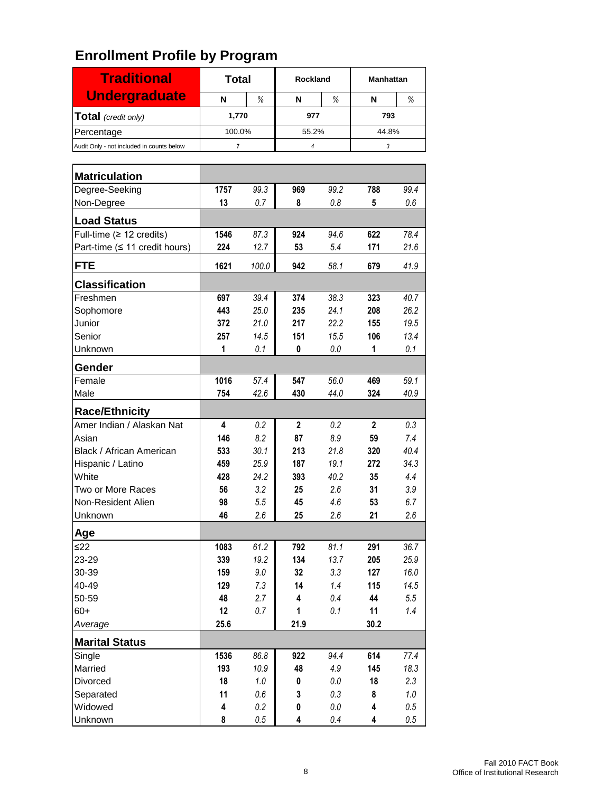| <b>Traditional</b>                        | <b>Total</b>            |             | Rockland       |                    | <b>Manhattan</b> |                |
|-------------------------------------------|-------------------------|-------------|----------------|--------------------|------------------|----------------|
| <b>Undergraduate</b>                      | N                       | $\%$        | N              | %                  | N                | %              |
| Total (credit only)                       | 1,770                   |             | 977            |                    | 793              |                |
| Percentage                                | 100.0%                  |             | 55.2%          |                    | 44.8%            |                |
| Audit Only - not included in counts below | $\overline{\mathbf{r}}$ |             | $\overline{4}$ |                    | 3                |                |
|                                           |                         |             |                |                    |                  |                |
| <b>Matriculation</b>                      |                         |             |                |                    |                  |                |
| Degree-Seeking                            | 1757                    | 99.3        | 969            | 99.2               | 788              | 99.4           |
| Non-Degree                                | 13                      | 0.7         | 8              | 0.8                | 5                | 0.6            |
| <b>Load Status</b>                        |                         |             |                |                    |                  |                |
| Full-time ( $\geq$ 12 credits)            | 1546                    | 87.3        | 924            | 94.6               | 622              | 78.4           |
| Part-time (≤ 11 credit hours)             | 224                     | 12.7        | 53             | 5.4                | 171              | 21.6           |
| <b>FTE</b>                                | 1621                    | 100.0       | 942            | 58.1               | 679              | 41.9           |
| <b>Classification</b>                     |                         |             |                |                    |                  |                |
| Freshmen                                  | 697                     | 39.4        | 374            | 38.3               | 323              | 40.7           |
| Sophomore                                 | 443                     | 25.0        | 235            | 24.1               | 208              | 26.2           |
| Junior                                    | 372                     | 21.0        | 217            | 22.2               | 155              | 19.5           |
| Senior                                    | 257                     | 14.5        | 151            | 15.5               | 106              | 13.4           |
| Unknown                                   | 1                       | 0.1         | 0              | 0.0                | 1                | 0.1            |
| Gender                                    |                         |             |                |                    |                  |                |
| Female                                    | 1016                    | 57.4        | 547            | 56.0               | 469              | 59.1           |
| Male                                      | 754                     | 42.6        | 430            | 44.0               | 324              | 40.9           |
| <b>Race/Ethnicity</b>                     |                         |             |                |                    |                  |                |
| Amer Indian / Alaskan Nat                 | 4                       | 0.2         | $\overline{2}$ | 0.2                | $\overline{2}$   | 0.3            |
| Asian                                     | 146                     | 8.2         | 87             | 8.9                | 59               | 7.4            |
| Black / African American                  | 533                     | 30.1        | 213            | 21.8               | 320              | 40.4           |
| Hispanic / Latino                         | 459                     | 25.9        | 187            | 19.1               | 272              | 34.3           |
| White<br>Two or More Races                | 428<br>56               | 24.2<br>3.2 | 393<br>25      | 40.2<br>2.6        | 35<br>31         | 4.4<br>3.9     |
| Non-Resident Alien                        | 98                      | 5.5         | 45             | 4.6                | 53               | 6.7            |
| Unknown                                   | 46                      | 2.6         | 25             | 2.6                | 21               | 2.6            |
| Age                                       |                         |             |                |                    |                  |                |
| ≤22                                       | 1083                    | 61.2        | 792            | 81.1               | 291              | 36.7           |
| 23-29                                     | 339                     | 19.2        | 134            | 13.7               | 205              | 25.9           |
| 30-39                                     | 159                     | 9.0         | 32             | 3.3                | 127              | 16.0           |
| 40-49                                     | 129                     | 7.3         | 14             | 1.4                | 115              | 14.5           |
| 50-59                                     | 48                      | 2.7         | 4              | 0.4                | 44               | 5.5            |
| $60+$                                     | 12                      | 0.7         | 1              | 0.1                | 11               | 1.4            |
| Average                                   | 25.6                    |             | 21.9           |                    | 30.2             |                |
| <b>Marital Status</b>                     |                         |             |                |                    |                  |                |
| Single                                    | 1536                    | 86.8        | 922            | 94.4               | 614              | 77.4           |
| Married                                   | 193                     | 10.9        | 48             | 4.9                | 145              | 18.3           |
| Divorced                                  | 18                      | 1.0         | 0              | $0.0\,$            | 18               | 2.3            |
| Separated<br>Widowed                      | 11<br>4                 | 0.6<br>0.2  | 3<br>0         | $0.3\,$<br>$0.0\,$ | 8<br>4           | 1.0<br>$0.5\,$ |
| Unknown                                   | 8                       | $0.5\,$     | 4              | 0.4                | 4                | $0.5\,$        |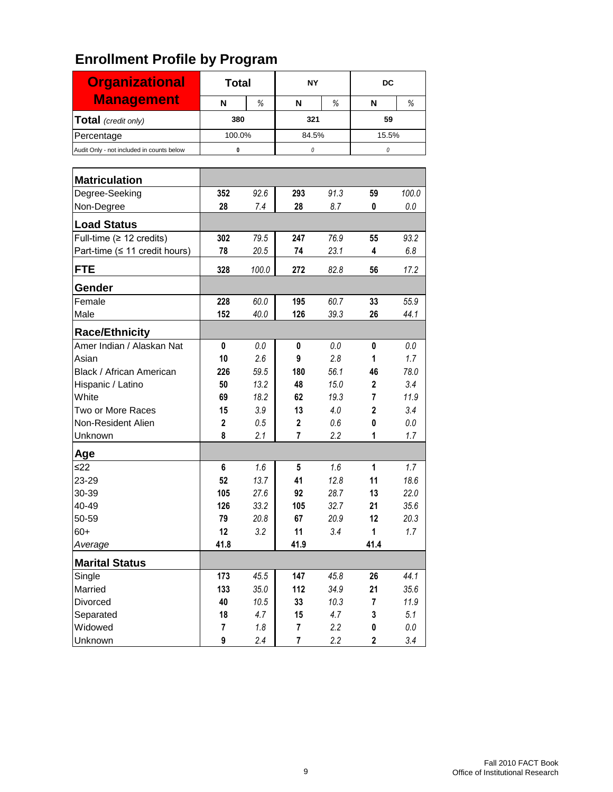| <b>Organizational</b>                     | <b>Total</b> |       | NΥ             |      | DC             |         |  |
|-------------------------------------------|--------------|-------|----------------|------|----------------|---------|--|
| <b>Management</b>                         | N            | %     | N              | %    | N              | %       |  |
| Total (credit only)                       | 380          |       | 321            |      | 59             |         |  |
| Percentage                                | 100.0%       |       | 84.5%          |      | 15.5%          |         |  |
| Audit Only - not included in counts below | 0            |       | 0              |      | 0              |         |  |
|                                           |              |       |                |      |                |         |  |
| <b>Matriculation</b>                      |              |       |                |      |                |         |  |
| Degree-Seeking                            | 352          | 92.6  | 293            | 91.3 | 59             | 100.0   |  |
| Non-Degree                                | 28           | 7.4   | 28             | 8.7  | 0              | 0.0     |  |
| <b>Load Status</b>                        |              |       |                |      |                |         |  |
| Full-time ( $\geq 12$ credits)            | 302          | 79.5  | 247            | 76.9 | 55             | 93.2    |  |
| Part-time ( $\leq$ 11 credit hours)       | 78           | 20.5  | 74             | 23.1 | 4              | 6.8     |  |
| <b>FTE</b>                                | 328          | 100.0 | 272            | 82.8 | 56             | 17.2    |  |
| Gender                                    |              |       |                |      |                |         |  |
| Female                                    | 228          | 60.0  | 195            | 60.7 | 33             | 55.9    |  |
| Male                                      | 152          | 40.0  | 126            | 39.3 | 26             | 44.1    |  |
| <b>Race/Ethnicity</b>                     |              |       |                |      |                |         |  |
| Amer Indian / Alaskan Nat                 | 0            | 0.0   | 0              | 0.0  | 0              | 0.0     |  |
| Asian                                     | 10           | 2.6   | 9              | 2.8  | 1              | 1.7     |  |
| Black / African American                  | 226          | 59.5  | 180            | 56.1 | 46             | 78.0    |  |
| Hispanic / Latino                         | 50           | 13.2  | 48             | 15.0 | $\mathbf 2$    | 3.4     |  |
| White                                     | 69           | 18.2  | 62             | 19.3 | $\overline{7}$ | 11.9    |  |
| Two or More Races                         | 15           | 3.9   | 13             | 4.0  | $\overline{2}$ | 3.4     |  |
| Non-Resident Alien                        | 2            | 0.5   | $\mathbf{2}$   | 0.6  | 0              | 0.0     |  |
| Unknown                                   | 8            | 2.1   | $\overline{7}$ | 2.2  | 1              | 1.7     |  |
| Age                                       |              |       |                |      |                |         |  |
| ≤22                                       | 6            | 1.6   | 5              | 1.6  | 1              | 1.7     |  |
| 23-29                                     | 52           | 13.7  | 41             | 12.8 | 11             | 18.6    |  |
| 30-39                                     | 105          | 27.6  | 92             | 28.7 | 13             | 22.0    |  |
| 40-49                                     | 126          | 33.2  | 105            | 32.7 | 21             | 35.6    |  |
| 50-59                                     | 79           | 20.8  | 67             | 20.9 | 12             | 20.3    |  |
| $60+$                                     | 12           | 3.2   | 11             | 3.4  | 1              | 1.7     |  |
| Average                                   | 41.8         |       | 41.9           |      | 41.4           |         |  |
| <b>Marital Status</b>                     |              |       |                |      |                |         |  |
| Single                                    | 173          | 45.5  | 147            | 45.8 | 26             | 44.1    |  |
| Married                                   | 133          | 35.0  | 112            | 34.9 | 21             | 35.6    |  |
| Divorced                                  | 40           | 10.5  | 33             | 10.3 | 7              | 11.9    |  |
| Separated                                 | 18           | 4.7   | 15             | 4.7  | 3              | 5.1     |  |
| Widowed                                   | 7            | 1.8   | 7              | 2.2  | 0              | $0.0\,$ |  |
| Unknown                                   | 9            | 2.4   | $\overline{7}$ | 2.2  | $\overline{2}$ | 3.4     |  |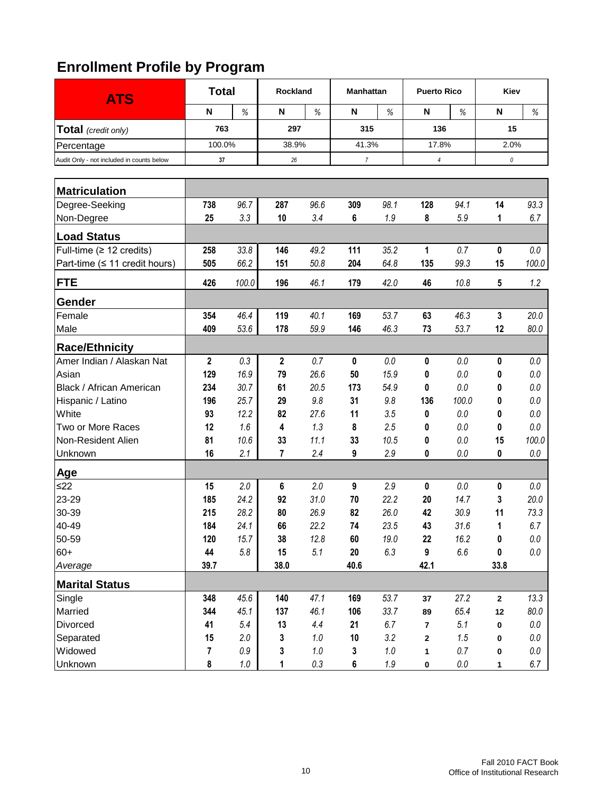| <b>ATS</b>                                | <b>Total</b>            |         | Rockland<br><b>Manhattan</b> |         |                |            | <b>Puerto Rico</b> |         | Kiev        |         |
|-------------------------------------------|-------------------------|---------|------------------------------|---------|----------------|------------|--------------------|---------|-------------|---------|
|                                           | N                       | $\%$    | N                            | $\%$    | $\mathsf{N}$   | $\%$       | N                  | %       | N           | %       |
| <b>Total</b> (credit only)                | 763                     |         | 297                          |         |                | 315<br>136 |                    |         | 15          |         |
| Percentage                                | 100.0%                  |         | 38.9%                        |         | 41.3%          |            | 17.8%              |         | 2.0%        |         |
| Audit Only - not included in counts below | 37                      |         | 26                           |         | $\overline{7}$ |            | $\overline{4}$     |         | 0           |         |
|                                           |                         |         |                              |         |                |            |                    |         |             |         |
| <b>Matriculation</b>                      |                         |         |                              |         |                |            |                    |         |             |         |
| Degree-Seeking                            | 738                     | 96.7    | 287                          | 96.6    | 309            | 98.1       | 128                | 94.1    | 14          | 93.3    |
| Non-Degree                                | 25                      | 3.3     | 10                           | 3.4     | 6              | 1.9        | 8                  | 5.9     | 1           | 6.7     |
| <b>Load Status</b>                        |                         |         |                              |         |                |            |                    |         |             |         |
| Full-time $(≥ 12$ credits)                | 258                     | 33.8    | 146                          | 49.2    | 111            | 35.2       | 1                  | 0.7     | 0           | $0.0\,$ |
| Part-time ( $\leq$ 11 credit hours)       | 505                     | 66.2    | 151                          | 50.8    | 204            | 64.8       | 135                | 99.3    | 15          | 100.0   |
| <b>FTE</b>                                | 426                     | 100.0   | 196                          | 46.1    | 179            | 42.0       | 46                 | 10.8    | 5           | 1.2     |
| Gender                                    |                         |         |                              |         |                |            |                    |         |             |         |
| Female                                    | 354                     | 46.4    | 119                          | 40.1    | 169            | 53.7       | 63                 | 46.3    | 3           | 20.0    |
| Male                                      | 409                     | 53.6    | 178                          | 59.9    | 146            | 46.3       | 73                 | 53.7    | 12          | 80.0    |
| <b>Race/Ethnicity</b>                     |                         |         |                              |         |                |            |                    |         |             |         |
| Amer Indian / Alaskan Nat                 | $\mathbf 2$             | 0.3     | $\mathbf{2}$                 | 0.7     | 0              | 0.0        | 0                  | 0.0     | 0           | 0.0     |
| Asian                                     | 129                     | 16.9    | 79                           | 26.6    | 50             | 15.9       | 0                  | 0.0     | 0           | 0.0     |
| Black / African American                  | 234                     | 30.7    | 61                           | 20.5    | 173            | 54.9       | 0                  | 0.0     | 0           | 0.0     |
| Hispanic / Latino                         | 196                     | 25.7    | 29                           | 9.8     | 31             | 9.8        | 136                | 100.0   | 0           | 0.0     |
| White                                     | 93                      | 12.2    | 82                           | 27.6    | 11             | 3.5        | 0                  | 0.0     | 0           | 0.0     |
| Two or More Races                         | 12                      | 1.6     | 4                            | 1.3     | 8              | 2.5        | 0                  | 0.0     | 0           | 0.0     |
| Non-Resident Alien                        | 81                      | 10.6    | 33                           | 11.1    | 33             | 10.5       | 0                  | 0.0     | 15          | 100.0   |
| Unknown                                   | 16                      | 2.1     | 7                            | 2.4     | 9              | 2.9        | 0                  | 0.0     | 0           | 0.0     |
| Age                                       |                         |         |                              |         |                |            |                    |         |             |         |
| $\leq$ 22                                 | 15                      | 2.0     | 6                            | 2.0     | 9              | 2.9        | 0                  | 0.0     | 0           | 0.0     |
| 23-29                                     | 185                     | 24.2    | 92                           | 31.0    | 70             | 22.2       | 20                 | 14.7    | 3           | 20.0    |
| 30-39                                     | 215                     | 28.2    | 80                           | 26.9    | 82             | 26.0       | 42                 | 30.9    | 11          | 73.3    |
| 40-49                                     | 184                     | 24.1    | 66                           | 22.2    | 74             | 23.5       | 43                 | 31.6    | 1           | 6.7     |
| 50-59                                     | 120                     | 15.7    | 38                           | 12.8    | 60             | 19.0       | 22                 | 16.2    | 0           | $0.0\,$ |
| $60+$                                     | 44                      | $5.8\,$ | 15                           | 5.1     | 20             | 6.3        | 9                  | $6.6\,$ | 0           | $0.0\,$ |
| Average                                   | 39.7                    |         | 38.0                         |         | 40.6           |            | 42.1               |         | 33.8        |         |
| <b>Marital Status</b>                     |                         |         |                              |         |                |            |                    |         |             |         |
| Single                                    | 348                     | 45.6    | 140                          | 47.1    | 169            | 53.7       | 37                 | 27.2    | $\mathbf 2$ | 13.3    |
| Married                                   | 344                     | 45.1    | 137                          | 46.1    | 106            | 33.7       | 89                 | 65.4    | 12          | 80.0    |
| Divorced                                  | 41                      | 5.4     | 13                           | 4.4     | 21             | 6.7        | $\bf 7$            | 5.1     | 0           | $0.0\,$ |
| Separated                                 | 15                      | 2.0     | 3                            | $1.0\,$ | 10             | 3.2        | 2                  | 1.5     | 0           | $0.0\,$ |
| Widowed                                   | $\overline{\mathbf{r}}$ | $0.9\,$ | 3                            | $1.0\,$ | 3              | $1.0\,$    | $\mathbf{1}$       | 0.7     | 0           | $0.0\,$ |
| Unknown                                   | 8                       | $1.0\,$ | 1                            | $0.3\,$ | 6              | $1.9\,$    | 0                  | $0.0\,$ | 1           | 6.7     |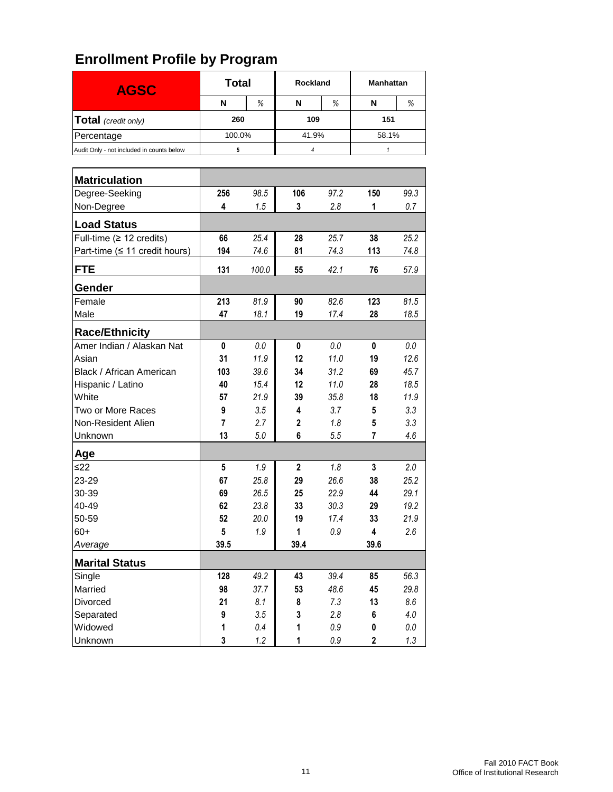| <b>AGSC</b>                               | <b>Total</b>            |       | Rockland     |         | <b>Manhattan</b> |         |  |
|-------------------------------------------|-------------------------|-------|--------------|---------|------------------|---------|--|
|                                           | N                       | %     | N            | %       | N                | %       |  |
| Total (credit only)                       | 260                     |       | 109          |         | 151              |         |  |
| Percentage                                | 100.0%                  |       | 41.9%        |         | 58.1%            |         |  |
| Audit Only - not included in counts below | 5                       |       | 4            |         | $\mathbf{1}$     |         |  |
|                                           |                         |       |              |         |                  |         |  |
| <b>Matriculation</b>                      |                         |       |              |         |                  |         |  |
| Degree-Seeking                            | 256                     | 98.5  | 106          | 97.2    | 150              | 99.3    |  |
| Non-Degree                                | 4                       | 1.5   | 3            | 2.8     | 1                | 0.7     |  |
| <b>Load Status</b>                        |                         |       |              |         |                  |         |  |
| Full-time $(≥ 12$ credits)                | 66                      | 25.4  | 28           | 25.7    | 38               | 25.2    |  |
| Part-time ( $\leq$ 11 credit hours)       | 194                     | 74.6  | 81           | 74.3    | 113              | 74.8    |  |
| <b>FTE</b>                                | 131                     | 100.0 | 55           | 42.1    | 76               | 57.9    |  |
| Gender                                    |                         |       |              |         |                  |         |  |
| Female                                    | 213                     | 81.9  | 90           | 82.6    | 123              | 81.5    |  |
| Male                                      | 47                      | 18.1  | 19           | 17.4    | 28               | 18.5    |  |
| <b>Race/Ethnicity</b>                     |                         |       |              |         |                  |         |  |
| Amer Indian / Alaskan Nat                 | 0                       | 0.0   | 0            | 0.0     | 0                | 0.0     |  |
| Asian                                     | 31                      | 11.9  | 12           | 11.0    | 19               | 12.6    |  |
| Black / African American                  | 103                     | 39.6  | 34           | 31.2    | 69               | 45.7    |  |
| Hispanic / Latino                         | 40                      | 15.4  | 12           | 11.0    | 28               | 18.5    |  |
| White                                     | 57                      | 21.9  | 39           | 35.8    | 18               | 11.9    |  |
| Two or More Races                         | 9                       | 3.5   | 4            | 3.7     | 5                | 3.3     |  |
| Non-Resident Alien                        | $\overline{\mathbf{r}}$ | 2.7   | 2            | 1.8     | 5                | 3.3     |  |
| Unknown                                   | 13                      | 5.0   | 6            | 5.5     | 7                | 4.6     |  |
| Age                                       |                         |       |              |         |                  |         |  |
| $≤22$                                     | 5                       | 1.9   | $\mathbf{2}$ | 1.8     | $\mathbf{3}$     | 2.0     |  |
| 23-29                                     | 67                      | 25.8  | 29           | 26.6    | 38               | 25.2    |  |
| 30-39                                     | 69                      | 26.5  | 25           | 22.9    | 44               | 29.1    |  |
| 40-49                                     | 62                      | 23.8  | 33           | 30.3    | 29               | 19.2    |  |
| 50-59                                     | 52                      | 20.0  | 19           | 17.4    | 33               | 21.9    |  |
| $60+$                                     | 5                       | 1.9   | 1            | $0.9\,$ | 4                | 2.6     |  |
| Average                                   | 39.5                    |       | 39.4         |         | 39.6             |         |  |
| <b>Marital Status</b>                     |                         |       |              |         |                  |         |  |
| Single                                    | 128                     | 49.2  | 43           | 39.4    | 85               | 56.3    |  |
| Married                                   | 98                      | 37.7  | 53           | 48.6    | 45               | 29.8    |  |
| Divorced                                  | 21                      | 8.1   | 8            | 7.3     | 13               | 8.6     |  |
| Separated                                 | 9                       | 3.5   | 3            | 2.8     | 6                | 4.0     |  |
| Widowed                                   | 1                       | 0.4   | 1            | $0.9\,$ | 0                | $0.0\,$ |  |
| Unknown                                   | 3                       | 1.2   | 1            | $0.9\,$ | $\overline{2}$   | 1.3     |  |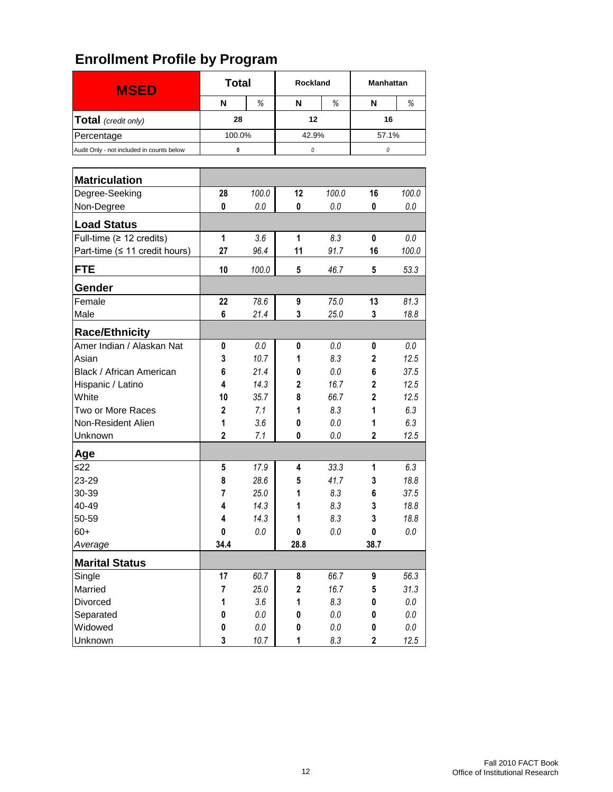| <b>MSED</b>                               | <b>Total</b> |         | <b>Rockland</b> |         | <b>Manhattan</b> |         |
|-------------------------------------------|--------------|---------|-----------------|---------|------------------|---------|
|                                           | N            | %       | N               | %       | N                | %       |
| Total (credit only)                       | 28           |         | 12              |         | 16               |         |
| Percentage                                | 100.0%       |         | 42.9%           |         | 57.1%            |         |
| Audit Only - not included in counts below | 0            |         | 0               |         | 0                |         |
|                                           |              |         |                 |         |                  |         |
| <b>Matriculation</b>                      |              |         |                 |         |                  |         |
| Degree-Seeking                            | 28           | 100.0   | 12              | 100.0   | 16               | 100.0   |
| Non-Degree                                | 0            | 0.0     | 0               | 0.0     | 0                | 0.0     |
| <b>Load Status</b>                        |              |         |                 |         |                  |         |
| Full-time $(≥ 12$ credits)                | 1            | 3.6     | 1               | 8.3     | 0                | 0.0     |
| Part-time ( $\leq$ 11 credit hours)       | 27           | 96.4    | 11              | 91.7    | 16               | 100.0   |
| <b>FTE</b>                                | 10           | 100.0   | 5               | 46.7    | 5                | 53.3    |
| Gender                                    |              |         |                 |         |                  |         |
| Female                                    | 22           | 78.6    | 9               | 75.0    | 13               | 81.3    |
| Male                                      | 6            | 21.4    | 3               | 25.0    | 3                | 18.8    |
| <b>Race/Ethnicity</b>                     |              |         |                 |         |                  |         |
| Amer Indian / Alaskan Nat                 | 0            | 0.0     | 0               | 0.0     | 0                | 0.0     |
| Asian                                     | 3            | 10.7    | 1               | 8.3     | 2                | 12.5    |
| Black / African American                  | 6            | 21.4    | 0               | $0.0\,$ | 6                | 37.5    |
| Hispanic / Latino                         | 4            | 14.3    | 2               | 16.7    | $\overline{2}$   | 12.5    |
| White                                     | 10           | 35.7    | 8               | 66.7    | $\overline{2}$   | 12.5    |
| Two or More Races                         | $\mathbf{2}$ | 7.1     | 1               | 8.3     | 1                | 6.3     |
| Non-Resident Alien                        | 1            | 3.6     | 0               | 0.0     | 1                | 6.3     |
| Unknown                                   | 2            | 7.1     | 0               | 0.0     | 2                | 12.5    |
| Age                                       |              |         |                 |         |                  |         |
| ≤22                                       | 5            | 17.9    | 4               | 33.3    | 1                | 6.3     |
| 23-29                                     | 8            | 28.6    | 5               | 41.7    | 3                | 18.8    |
| 30-39                                     | 7            | 25.0    | 1               | 8.3     | 6                | 37.5    |
| 40-49                                     | 4            | 14.3    | 1               | 8.3     | 3                | 18.8    |
| 50-59                                     | 4            | 14.3    | 1               | 8.3     | 3                | 18.8    |
| $60+$                                     | 0            | 0.0     | $\mathbf 0$     | $0.0\,$ | 0                | $0.0\,$ |
| Average                                   | 34.4         |         | 28.8            |         | 38.7             |         |
| <b>Marital Status</b>                     |              |         |                 |         |                  |         |
| Single                                    | 17           | 60.7    | 8               | 66.7    | 9                | 56.3    |
| Married                                   | 7            | 25.0    | $\mathbf 2$     | 16.7    | 5                | 31.3    |
| Divorced                                  | 1            | 3.6     | 1               | $8.3\,$ | 0                | $0.0\,$ |
| Separated                                 | $\pmb{0}$    | $0.0\,$ | 0               | $0.0\,$ | 0                | $0.0\,$ |
| Widowed                                   | $\pmb{0}$    | $0.0\,$ | 0               | $0.0\,$ | 0                | $0.0\,$ |
| Unknown                                   | 3            | 10.7    | 1               | 8.3     | $\overline{2}$   | 12.5    |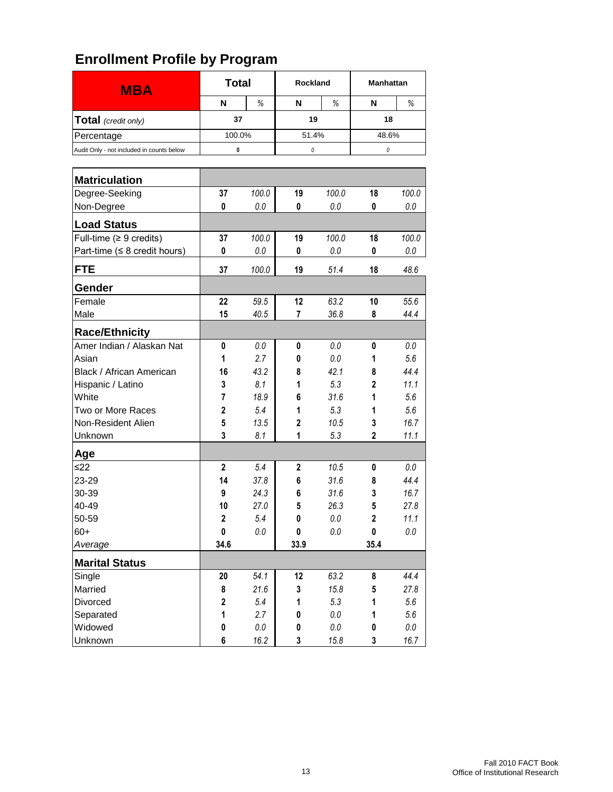|                                           | <b>Total</b> |         | <b>Rockland</b> |         | <b>Manhattan</b> |         |
|-------------------------------------------|--------------|---------|-----------------|---------|------------------|---------|
| <b>MBA</b>                                | N            | %       | N               | %       | N                | %       |
| Total (credit only)                       | 37           |         | 19              |         | 18               |         |
| Percentage                                | 100.0%       |         | 51.4%           |         | 48.6%            |         |
| Audit Only - not included in counts below | 0            |         | 0               |         | 0                |         |
|                                           |              |         |                 |         |                  |         |
| <b>Matriculation</b>                      |              |         |                 |         |                  |         |
| Degree-Seeking                            | 37           | 100.0   | 19              | 100.0   | 18               | 100.0   |
| Non-Degree                                | 0            | 0.0     | 0               | 0.0     | 0                | 0.0     |
| <b>Load Status</b>                        |              |         |                 |         |                  |         |
| Full-time ( $\geq 9$ credits)             | 37           | 100.0   | 19              | 100.0   | 18               | 100.0   |
| Part-time ( $\leq 8$ credit hours)        | 0            | 0.0     | 0               | 0.0     | 0                | 0.0     |
| <b>FTE</b>                                | 37           | 100.0   | 19              | 51.4    | 18               | 48.6    |
| Gender                                    |              |         |                 |         |                  |         |
| Female                                    | 22           | 59.5    | 12              | 63.2    | 10               | 55.6    |
| Male                                      | 15           | 40.5    | 7               | 36.8    | 8                | 44.4    |
| <b>Race/Ethnicity</b>                     |              |         |                 |         |                  |         |
| Amer Indian / Alaskan Nat                 | 0            | 0.0     | 0               | 0.0     | 0                | $0.0\,$ |
| Asian                                     | 1            | 2.7     | 0               | 0.0     | 1                | 5.6     |
| Black / African American                  | 16           | 43.2    | 8               | 42.1    | 8                | 44.4    |
| Hispanic / Latino                         | 3            | 8.1     | 1               | 5.3     | $\overline{2}$   | 11.1    |
| White                                     | 7            | 18.9    | 6               | 31.6    | 1                | 5.6     |
| Two or More Races                         | $\mathbf 2$  | 5.4     | 1               | 5.3     | 1                | 5.6     |
| Non-Resident Alien                        | 5            | 13.5    | $\overline{2}$  | 10.5    | 3                | 16.7    |
| Unknown                                   | 3            | 8.1     | 1               | 5.3     | 2                | 11.1    |
| Age                                       |              |         |                 |         |                  |         |
| $≤22$                                     | $\mathbf{2}$ | 5.4     | $\mathbf{2}$    | 10.5    | 0                | 0.0     |
| 23-29                                     | 14           | 37.8    | 6               | 31.6    | 8                | 44.4    |
| 30-39                                     | 9            | 24.3    | 6               | 31.6    | 3                | 16.7    |
| 40-49                                     | 10           | 27.0    | 5               | 26.3    | 5                | 27.8    |
| 50-59                                     | 2            | 5.4     | 0               | 0.0     | 2                | 11.1    |
| $60+$                                     | 0            | $0.0\,$ | 0               | $0.0\,$ | 0                | $0.0\,$ |
| Average                                   | 34.6         |         | 33.9            |         | 35.4             |         |
| <b>Marital Status</b>                     |              |         |                 |         |                  |         |
| Single                                    | 20           | 54.1    | 12              | 63.2    | 8                | 44.4    |
| Married                                   | 8            | 21.6    | 3               | 15.8    | 5                | 27.8    |
| Divorced                                  | $\mathbf 2$  | 5.4     | 1               | 5.3     | 1                | 5.6     |
| Separated                                 | 1            | 2.7     | 0               | $0.0\,$ | 1                | 5.6     |
| Widowed                                   | $\pmb{0}$    | $0.0\,$ | 0               | $0.0\,$ | 0                | $0.0\,$ |
| Unknown                                   | 6            | 16.2    | 3               | 15.8    | 3                | 16.7    |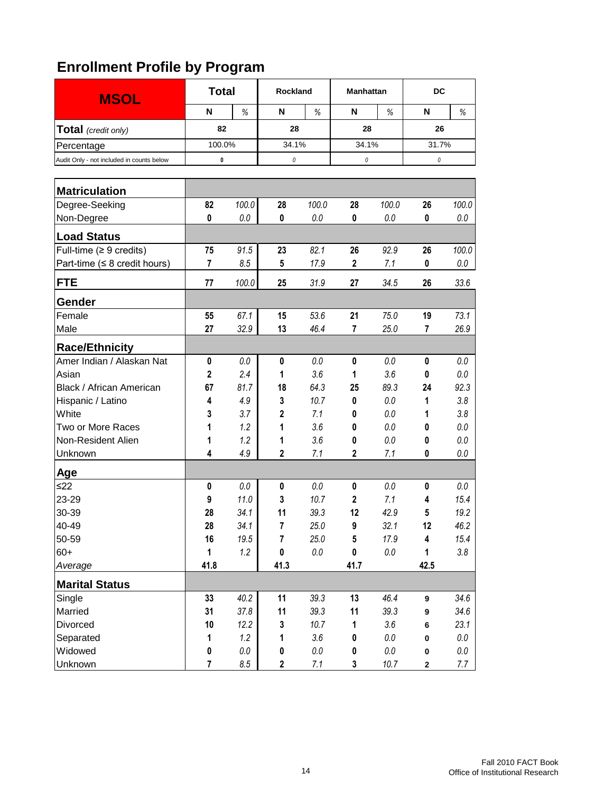| <b>MSOL</b>                               | <b>Total</b>   | Rockland |             | <b>Manhattan</b> |                         | DC      |                  |         |
|-------------------------------------------|----------------|----------|-------------|------------------|-------------------------|---------|------------------|---------|
|                                           | N              | %        | N           | %                | N                       | %       | N                | %       |
| Total (credit only)                       | 82             |          | 28          |                  | 28                      |         | 26               |         |
| Percentage                                | 100.0%         |          | 34.1%       |                  | 34.1%                   |         | 31.7%            |         |
| Audit Only - not included in counts below | 0              |          | 0           |                  | 0                       |         | $\it{0}$         |         |
|                                           |                |          |             |                  |                         |         |                  |         |
| <b>Matriculation</b>                      |                |          |             |                  |                         |         |                  |         |
| Degree-Seeking                            | 82             | 100.0    | 28          | 100.0            | 28                      | 100.0   | 26               | 100.0   |
| Non-Degree                                | 0              | 0.0      | 0           | 0.0              | 0                       | 0.0     | 0                | $0.0\,$ |
| <b>Load Status</b>                        |                |          |             |                  |                         |         |                  |         |
| Full-time $(≥ 9 \text{ credits})$         | 75             | 91.5     | 23          | 82.1             | 26                      | 92.9    | 26               | 100.0   |
| Part-time ( $\leq 8$ credit hours)        | 7              | 8.5      | 5           | 17.9             | $\overline{\mathbf{2}}$ | 7.1     | 0                | $0.0\,$ |
| <b>FTE</b>                                | 77             | 100.0    | 25          | 31.9             | 27                      | 34.5    | 26               | 33.6    |
| Gender                                    |                |          |             |                  |                         |         |                  |         |
| Female                                    | 55             | 67.1     | 15          | 53.6             | 21                      | 75.0    | 19               | 73.1    |
| Male                                      | 27             | 32.9     | 13          | 46.4             | 7                       | 25.0    | 7                | 26.9    |
| <b>Race/Ethnicity</b>                     |                |          |             |                  |                         |         |                  |         |
| Amer Indian / Alaskan Nat                 | 0              | 0.0      | 0           | 0.0              | 0                       | 0.0     | 0                | 0.0     |
| Asian                                     | $\mathbf 2$    | 2.4      | 1           | 3.6              | 1                       | 3.6     | 0                | 0.0     |
| Black / African American                  | 67             | 81.7     | 18          | 64.3             | 25                      | 89.3    | 24               | 92.3    |
| Hispanic / Latino                         | 4              | 4.9      | 3           | 10.7             | 0                       | 0.0     | 1                | 3.8     |
| White                                     | 3              | 3.7      | 2           | 7.1              | 0                       | 0.0     | 1                | 3.8     |
| Two or More Races                         | 1              | 1.2      | 1           | 3.6              | 0                       | 0.0     | 0                | 0.0     |
| Non-Resident Alien                        | 1              | 1.2      | 1           | 3.6              | 0                       | 0.0     | 0                | 0.0     |
| Unknown                                   | 4              | 4.9      | 2           | 7.1              | $\mathbf{2}$            | 7.1     | 0                | 0.0     |
| Age                                       |                |          |             |                  |                         |         |                  |         |
| $\leq$ 22                                 | 0              | 0.0      | 0           | 0.0              | 0                       | 0.0     | 0                | $0.0\,$ |
| 23-29                                     | 9              | 11.0     | 3           | 10.7             | $\mathbf 2$             | 7.1     | 4                | 15.4    |
| 30-39                                     | 28             | 34.1     | 11          | 39.3             | 12                      | 42.9    | 5                | 19.2    |
| 40-49                                     | 28             | 34.1     | 7           | $25.0\,$         | 9                       | 32.1    | 12               | 46.2    |
| 50-59                                     | 16             | 19.5     | 7           | 25.0             | 5                       | 17.9    | 4                | 15.4    |
| $60+$                                     | $\mathbf{1}$   | 1.2      | $\pmb{0}$   | $0.0\,$          | $\pmb{0}$               | $0.0\,$ | 1                | $3.8\,$ |
| Average                                   | 41.8           |          | 41.3        |                  | 41.7                    |         | 42.5             |         |
| <b>Marital Status</b>                     |                |          |             |                  |                         |         |                  |         |
| Single                                    | 33             | 40.2     | 11          | 39.3             | 13                      | 46.4    | $\boldsymbol{9}$ | 34.6    |
| Married                                   | 31             | 37.8     | 11          | 39.3             | 11                      | 39.3    | 9                | 34.6    |
| Divorced                                  | 10             | 12.2     | 3           | 10.7             | 1                       | 3.6     | 6                | 23.1    |
| Separated                                 | 1              | 1.2      | 1           | 3.6              | 0                       | $0.0\,$ | $\pmb{0}$        | $0.0\,$ |
| Widowed                                   | $\pmb{0}$      | $0.0\,$  | 0           | $0.0\,$          | 0                       | $0.0\,$ | $\pmb{0}$        | $0.0\,$ |
| Unknown                                   | $\overline{7}$ | $8.5\,$  | $\mathbf 2$ | 7.1              | 3                       | 10.7    | $\mathbf 2$      | 7.7     |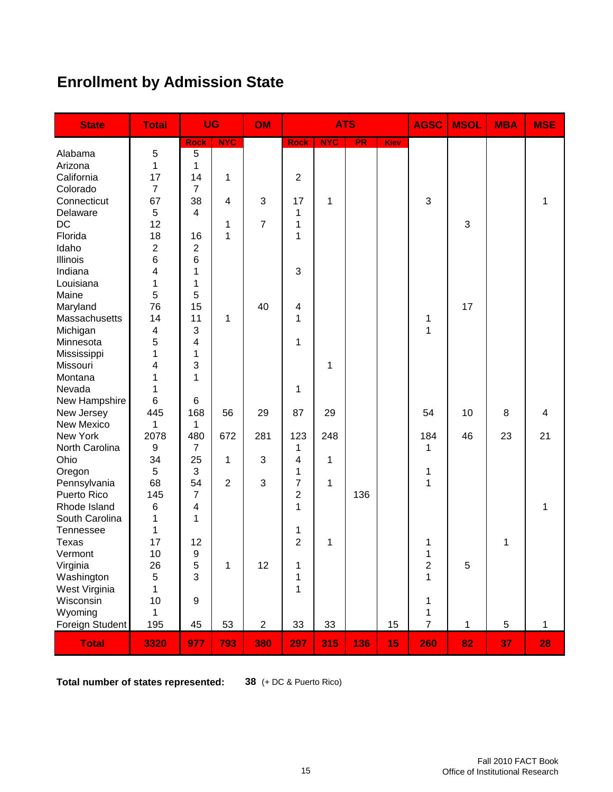# **Enrollment by Admission State**

| <b>State</b>    | <b>Total</b>     | <b>UG</b>      |                | OM             |                | <b>ATS</b>   |     |             | <b>AGSC</b>    | <b>MSOL</b>  | <b>MBA</b> | <b>MSE</b>   |
|-----------------|------------------|----------------|----------------|----------------|----------------|--------------|-----|-------------|----------------|--------------|------------|--------------|
|                 |                  | <b>Rock</b>    | <b>NYC</b>     |                | <b>Rock</b>    | <b>NYC</b>   | PR  | <b>Kiev</b> |                |              |            |              |
| Alabama         | 5                | 5              |                |                |                |              |     |             |                |              |            |              |
| Arizona         | $\mathbf{1}$     | 1              |                |                |                |              |     |             |                |              |            |              |
| California      | 17               | 14             | 1              |                | $\overline{2}$ |              |     |             |                |              |            |              |
| Colorado        | $\overline{7}$   | $\overline{7}$ |                |                |                |              |     |             |                |              |            |              |
| Connecticut     | 67               | 38             | 4              | 3              | 17             | 1            |     |             | 3              |              |            | 1            |
| Delaware        | 5                | 4              |                |                | 1              |              |     |             |                |              |            |              |
| <b>DC</b>       | 12               |                | 1              | $\overline{7}$ | 1              |              |     |             |                | 3            |            |              |
| Florida         | 18               | 16             | 1              |                | 1              |              |     |             |                |              |            |              |
| Idaho           | $\overline{c}$   | $\overline{2}$ |                |                |                |              |     |             |                |              |            |              |
| Illinois        | 6                | 6              |                |                |                |              |     |             |                |              |            |              |
| Indiana         | 4                | 1              |                |                | 3              |              |     |             |                |              |            |              |
| Louisiana       | 1                | 1              |                |                |                |              |     |             |                |              |            |              |
| Maine           | 5                | 5              |                |                |                |              |     |             |                |              |            |              |
| Maryland        | 76               | 15             |                | 40             | 4              |              |     |             |                | 17           |            |              |
| Massachusetts   | 14               | 11             | 1              |                | 1              |              |     |             | 1              |              |            |              |
| Michigan        | 4                | 3              |                |                |                |              |     |             | 1              |              |            |              |
| Minnesota       | 5                | 4              |                |                | 1              |              |     |             |                |              |            |              |
| Mississippi     | 1                | 1              |                |                |                |              |     |             |                |              |            |              |
| Missouri        | 4                | 3              |                |                |                | 1            |     |             |                |              |            |              |
| Montana         | 1                | 1              |                |                |                |              |     |             |                |              |            |              |
| Nevada          | 1                |                |                |                | 1              |              |     |             |                |              |            |              |
| New Hampshire   | 6                | 6              |                |                |                |              |     |             |                |              |            |              |
| New Jersey      | 445              | 168            | 56             | 29             | 87             | 29           |     |             | 54             | 10           | 8          | 4            |
| New Mexico      | 1                | 1              |                |                |                |              |     |             |                |              |            |              |
| New York        | 2078             | 480            | 672            | 281            | 123            | 248          |     |             | 184            | 46           | 23         | 21           |
| North Carolina  | $\boldsymbol{9}$ | $\overline{7}$ |                |                | 1              |              |     |             | 1              |              |            |              |
| Ohio            | 34               | 25             | 1              | 3              | 4              | $\mathbf{1}$ |     |             |                |              |            |              |
| Oregon          | 5                | 3              |                |                | 1              |              |     |             | 1              |              |            |              |
| Pennsylvania    | 68               | 54             | $\overline{2}$ | 3              | $\overline{7}$ | 1            |     |             | 1              |              |            |              |
| Puerto Rico     | 145              | $\overline{7}$ |                |                | $\overline{c}$ |              | 136 |             |                |              |            |              |
| Rhode Island    | 6                | 4              |                |                | 1              |              |     |             |                |              |            | 1            |
| South Carolina  | 1                | 1              |                |                |                |              |     |             |                |              |            |              |
| Tennessee       | 1                |                |                |                | 1              |              |     |             |                |              |            |              |
| Texas           | 17               | 12             |                |                | $\overline{2}$ | 1            |     |             | 1              |              | 1          |              |
| Vermont         | 10               | 9              |                |                |                |              |     |             | 1              |              |            |              |
| Virginia        | 26               | 5              | 1              | 12             | 1              |              |     |             | $\overline{c}$ | $\sqrt{5}$   |            |              |
| Washington      | 5                | 3              |                |                | 1              |              |     |             | $\mathbf 1$    |              |            |              |
| West Virginia   | $\mathbf 1$      |                |                |                | $\mathbf 1$    |              |     |             |                |              |            |              |
| Wisconsin       | 10               | 9              |                |                |                |              |     |             | $\mathbf 1$    |              |            |              |
| Wyoming         | 1                |                |                |                |                |              |     |             | $\mathbf 1$    |              |            |              |
| Foreign Student | 195              | 45             | 53             | $\overline{c}$ | 33             | 33           |     | 15          | $\overline{7}$ | $\mathbf{1}$ | 5          | $\mathbf{1}$ |
| <b>Total</b>    | 3320             | 977            | 793            | 380            | 297            | 315          | 136 | 15          | 260            | 82           | 37         | 28           |

**Total number of states represented: 38** (+ DC & Puerto Rico)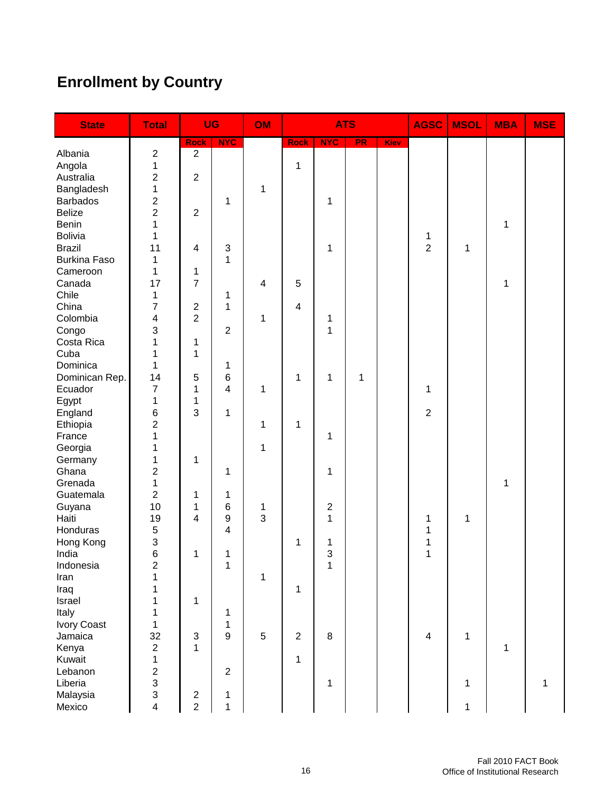# **Enrollment by Country**

| <b>State</b>        | <b>Total</b>                   | <b>UG</b>                 |                         | OM                      |                         | <b>ATS</b>              |    |      | <b>AGSC</b>      | <b>MSOL</b> | <b>MBA</b> | <b>MSE</b>   |
|---------------------|--------------------------------|---------------------------|-------------------------|-------------------------|-------------------------|-------------------------|----|------|------------------|-------------|------------|--------------|
|                     |                                | <b>Rock</b>               | <b>NYC</b>              |                         | <b>Rock</b>             | <b>NYC</b>              | PR | Kiev |                  |             |            |              |
| Albania             | $\boldsymbol{2}$               | $\overline{2}$            |                         |                         |                         |                         |    |      |                  |             |            |              |
| Angola              | $\mathbf 1$                    |                           |                         |                         | 1                       |                         |    |      |                  |             |            |              |
| Australia           | $\overline{2}$                 | $\overline{2}$            |                         |                         |                         |                         |    |      |                  |             |            |              |
| Bangladesh          | $\mathbf 1$                    |                           |                         | 1                       |                         |                         |    |      |                  |             |            |              |
| <b>Barbados</b>     | $\boldsymbol{2}$               |                           | 1                       |                         |                         | 1                       |    |      |                  |             |            |              |
| <b>Belize</b>       | $\overline{2}$                 | $\overline{2}$            |                         |                         |                         |                         |    |      |                  |             |            |              |
| Benin               | $\mathbf{1}$                   |                           |                         |                         |                         |                         |    |      |                  |             | 1          |              |
| Bolivia             | 1                              |                           |                         |                         |                         |                         |    |      | 1                |             |            |              |
| <b>Brazil</b>       | 11                             | 4                         | 3                       |                         |                         | 1                       |    |      | $\overline{2}$   | 1           |            |              |
| <b>Burkina Faso</b> | 1                              |                           | 1                       |                         |                         |                         |    |      |                  |             |            |              |
| Cameroon            | 1                              | 1                         |                         |                         |                         |                         |    |      |                  |             |            |              |
| Canada              | 17                             | $\overline{7}$            |                         | $\overline{\mathbf{4}}$ | 5                       |                         |    |      |                  |             | 1          |              |
| Chile               | $\mathbf{1}$                   |                           | 1                       |                         |                         |                         |    |      |                  |             |            |              |
| China               | 7                              | $\overline{2}$            | 1                       |                         | $\overline{\mathbf{4}}$ |                         |    |      |                  |             |            |              |
| Colombia            | $\overline{\mathbf{4}}$        | $\overline{c}$            |                         | 1                       |                         | 1                       |    |      |                  |             |            |              |
| Congo               | $\mathfrak{S}$                 |                           | $\overline{c}$          |                         |                         | 1                       |    |      |                  |             |            |              |
| Costa Rica          | $\overline{1}$                 | 1                         |                         |                         |                         |                         |    |      |                  |             |            |              |
| Cuba                | $\mathbf{1}$                   | 1                         |                         |                         |                         |                         |    |      |                  |             |            |              |
| Dominica            | $\mathbf{1}$<br>14             |                           | 1                       |                         |                         |                         |    |      |                  |             |            |              |
| Dominican Rep.      |                                | 5                         | $\,6$<br>$\overline{4}$ |                         | 1                       | 1                       | 1  |      |                  |             |            |              |
| Ecuador             | $\overline{7}$<br>$\mathbf{1}$ | 1                         |                         | 1                       |                         |                         |    |      | 1                |             |            |              |
| Egypt               |                                | 1<br>3                    |                         |                         |                         |                         |    |      |                  |             |            |              |
| England             | $\,6$<br>$\overline{2}$        |                           | 1                       |                         |                         |                         |    |      | $\boldsymbol{2}$ |             |            |              |
| Ethiopia<br>France  | 1                              |                           |                         | 1                       | 1                       | 1                       |    |      |                  |             |            |              |
|                     | 1                              |                           |                         | 1                       |                         |                         |    |      |                  |             |            |              |
| Georgia<br>Germany  | $\mathbf 1$                    | 1                         |                         |                         |                         |                         |    |      |                  |             |            |              |
| Ghana               | $\overline{2}$                 |                           | 1                       |                         |                         | 1                       |    |      |                  |             |            |              |
| Grenada             | 1                              |                           |                         |                         |                         |                         |    |      |                  |             | 1          |              |
| Guatemala           | $\overline{2}$                 | 1                         | 1                       |                         |                         |                         |    |      |                  |             |            |              |
| Guyana              | 10                             | 1                         | 6                       | 1                       |                         | $\overline{\mathbf{c}}$ |    |      |                  |             |            |              |
| Haiti               | 19                             | 4                         | 9                       | 3                       |                         | 1                       |    |      | 1                | 1           |            |              |
| Honduras            | 5                              |                           | 4                       |                         |                         |                         |    |      | 1                |             |            |              |
| Hong Kong           | $\ensuremath{\mathsf{3}}$      |                           |                         |                         | 1                       | 1                       |    |      | 1                |             |            |              |
| India               | 6                              | 1                         | 1                       |                         |                         | 3                       |    |      | 1                |             |            |              |
| Indonesia           | $\boldsymbol{2}$               |                           | 1                       |                         |                         | 1                       |    |      |                  |             |            |              |
| Iran                | $\mathbf{1}$                   |                           |                         | 1                       |                         |                         |    |      |                  |             |            |              |
| Iraq                | $\mathbf 1$                    |                           |                         |                         | $\mathbf{1}$            |                         |    |      |                  |             |            |              |
| Israel              | $\mathbf 1$                    | 1                         |                         |                         |                         |                         |    |      |                  |             |            |              |
| Italy               | $\mathbf 1$                    |                           | 1                       |                         |                         |                         |    |      |                  |             |            |              |
| Ivory Coast         | $\mathbf{1}$                   |                           | $\mathbf 1$             |                         |                         |                         |    |      |                  |             |            |              |
| Jamaica             | 32                             | $\ensuremath{\mathsf{3}}$ | 9                       | $\sqrt{5}$              | $\overline{2}$          | $\,8\,$                 |    |      | $\overline{4}$   | 1           |            |              |
| Kenya               | $\overline{2}$                 | $\mathbf{1}$              |                         |                         |                         |                         |    |      |                  |             | 1          |              |
| Kuwait              | $\mathbf{1}$                   |                           |                         |                         | $\mathbf{1}$            |                         |    |      |                  |             |            |              |
| Lebanon             |                                |                           | $\overline{2}$          |                         |                         |                         |    |      |                  |             |            |              |
| Liberia             | $\frac{2}{3}$                  |                           |                         |                         |                         | 1                       |    |      |                  | 1           |            | $\mathbf{1}$ |
| Malaysia            | $\overline{3}$                 | $\overline{c}$            | 1                       |                         |                         |                         |    |      |                  |             |            |              |
| Mexico              | $\overline{\mathbf{4}}$        | $\overline{2}$            | $\mathbf{1}$            |                         |                         |                         |    |      |                  | 1           |            |              |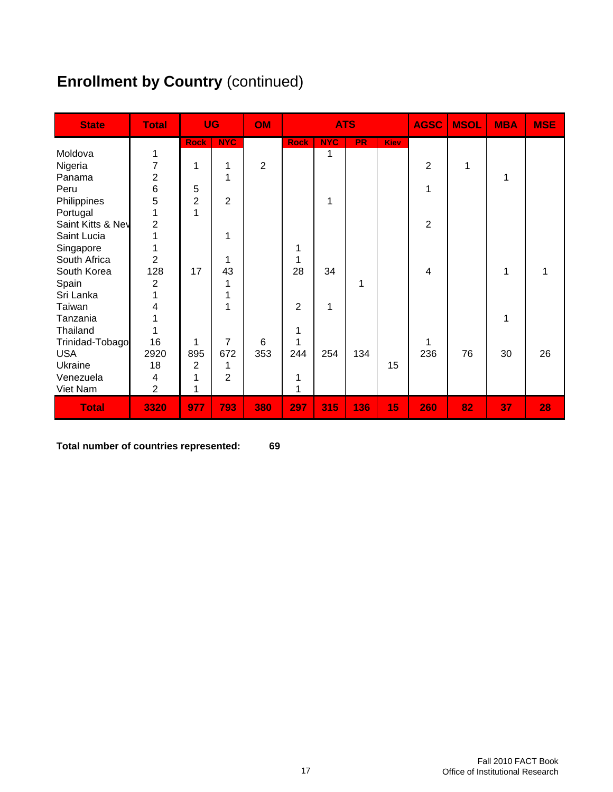# **Enrollment by Country (continued)**

| <b>State</b>      | <b>Total</b>   | <b>UG</b>      |                | <b>OM</b>      |                | <b>ATS</b> |           |             | <b>AGSC</b>    | <b>MSOL</b> | <b>MBA</b> | <b>MSE</b> |
|-------------------|----------------|----------------|----------------|----------------|----------------|------------|-----------|-------------|----------------|-------------|------------|------------|
|                   |                | <b>Rock</b>    | <b>NYC</b>     |                | <b>Rock</b>    | <b>NYC</b> | <b>PR</b> | <b>Kiev</b> |                |             |            |            |
| Moldova           | 1              |                |                |                |                | 1          |           |             |                |             |            |            |
| Nigeria           | 7              | 1              | 1              | $\overline{c}$ |                |            |           |             | $\overline{2}$ | 1           |            |            |
| Panama            | $\overline{c}$ |                | 1              |                |                |            |           |             |                |             | 1          |            |
| Peru              | 6              | 5              |                |                |                |            |           |             | 1              |             |            |            |
| Philippines       | 5              | $\overline{2}$ | $\overline{2}$ |                |                | 1          |           |             |                |             |            |            |
| Portugal          | 1              | 1              |                |                |                |            |           |             |                |             |            |            |
| Saint Kitts & Nev | $\overline{2}$ |                |                |                |                |            |           |             | $\overline{2}$ |             |            |            |
| Saint Lucia       | 1              |                | 1              |                |                |            |           |             |                |             |            |            |
| Singapore         | 1              |                |                |                | 1              |            |           |             |                |             |            |            |
| South Africa      | $\overline{2}$ |                | 1              |                | 1              |            |           |             |                |             |            |            |
| South Korea       | 128            | 17             | 43             |                | 28             | 34         |           |             | 4              |             | 1          | 1          |
| Spain             | $\overline{2}$ |                |                |                |                |            | 1         |             |                |             |            |            |
| Sri Lanka         | 1              |                |                |                |                |            |           |             |                |             |            |            |
| Taiwan            | 4              |                | 4              |                | $\overline{2}$ | 1          |           |             |                |             |            |            |
| Tanzania          | 1              |                |                |                |                |            |           |             |                |             | 1          |            |
| Thailand          |                |                |                |                | 1              |            |           |             |                |             |            |            |
| Trinidad-Tobago   | 16             | 1              | 7              | 6              | 1              |            |           |             | 1              |             |            |            |
| <b>USA</b>        | 2920           | 895            | 672            | 353            | 244            | 254        | 134       |             | 236            | 76          | 30         | 26         |
| Ukraine           | 18             | 2              |                |                |                |            |           | 15          |                |             |            |            |
| Venezuela         | 4              | 1              | $\overline{2}$ |                | 1              |            |           |             |                |             |            |            |
| Viet Nam          | $\overline{2}$ | 1              |                |                | 1              |            |           |             |                |             |            |            |
| <b>Total</b>      | 3320           | 977            | 793            | 380            | 297            | 315        | 136       | 15          | 260            | 82          | 37         | 28         |

**Total number of countries represented: 69**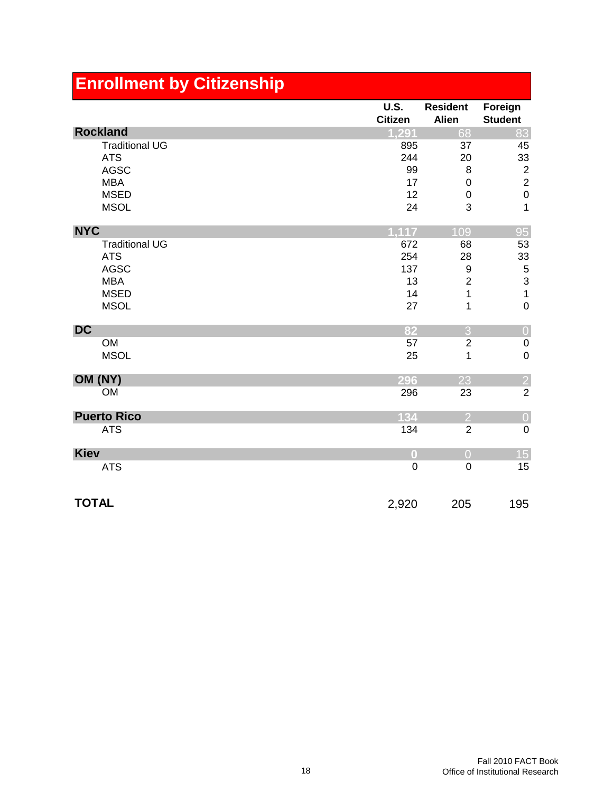| <b>Enrollment by Citizenship</b> |                               |                                 |                           |
|----------------------------------|-------------------------------|---------------------------------|---------------------------|
|                                  | <b>U.S.</b><br><b>Citizen</b> | <b>Resident</b><br><b>Alien</b> | Foreign<br><b>Student</b> |
| <b>Rockland</b>                  | 1,291                         | 68                              | 83                        |
| <b>Traditional UG</b>            | 895                           | 37                              | 45                        |
| <b>ATS</b>                       | 244                           | 20                              | 33                        |
| <b>AGSC</b>                      | 99                            | 8                               | $\overline{c}$            |
| <b>MBA</b>                       | 17                            | $\mathbf 0$                     | $\overline{c}$            |
| <b>MSED</b>                      | 12                            | $\mathbf 0$                     | $\mathbf 0$               |
| <b>MSOL</b>                      | 24                            | 3                               | $\overline{1}$            |
| <b>NYC</b>                       | 1.117                         | 109                             | 95                        |
| <b>Traditional UG</b>            | 672                           | 68                              | 53                        |
| <b>ATS</b>                       | 254                           | 28                              | 33                        |
| <b>AGSC</b>                      | 137                           | $\boldsymbol{9}$                | 5                         |
| <b>MBA</b>                       | 13                            | $\overline{\mathbf{c}}$         | 3                         |
| <b>MSED</b>                      | 14                            | 1                               | $\mathbf{1}$              |
| <b>MSOL</b>                      | 27                            | 1                               | $\mathbf 0$               |
| <b>DC</b>                        | 82                            | 3                               | $\overline{0}$            |
| <b>OM</b>                        | 57                            | $\overline{2}$                  | $\pmb{0}$                 |
| <b>MSOL</b>                      | 25                            | 1                               | $\overline{0}$            |
| OM (NY)                          | 296                           | 23                              | $\overline{2}$            |
| <b>OM</b>                        | 296                           | 23                              | $\overline{2}$            |
| <b>Puerto Rico</b>               | 134                           | $\overline{2}$                  | $\mathbf 0$               |
| <b>ATS</b>                       | 134                           | $\overline{2}$                  | $\mathbf 0$               |
| <b>Kiev</b>                      | $\bf{0}$                      | $\overline{O}$                  | 15                        |
| <b>ATS</b>                       | $\mathbf 0$                   | $\overline{0}$                  | 15                        |
| <b>TOTAL</b>                     | 2,920                         | 205                             | 195                       |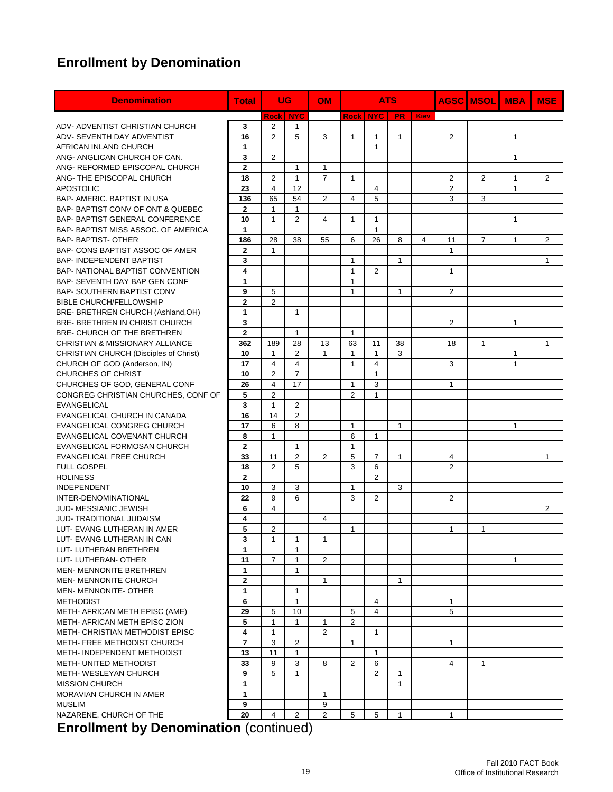### **Enrollment by Denomination**

| <b>Denomination</b>                                        | <b>Total</b>   |                   | <b>UG</b>               | <b>OM</b>      | <b>ATS</b>        |                    |              |             | <b>AGSC MSOL</b> | <b>MBA</b>     | <b>MSE</b>   |                |
|------------------------------------------------------------|----------------|-------------------|-------------------------|----------------|-------------------|--------------------|--------------|-------------|------------------|----------------|--------------|----------------|
|                                                            |                | <b>Rock   NYC</b> |                         |                | <b>Rock</b>       | <b>NYC</b>         | <b>PR</b>    | <b>Kiev</b> |                  |                |              |                |
| ADV- ADVENTIST CHRISTIAN CHURCH                            | 3              | $\overline{2}$    | $\mathbf{1}$            |                |                   |                    |              |             |                  |                |              |                |
| ADV- SEVENTH DAY ADVENTIST                                 | 16             | $\overline{2}$    | 5                       | 3              | $\mathbf{1}$      | $\mathbf{1}$       | 1            |             | $\overline{c}$   |                | $\mathbf{1}$ |                |
| AFRICAN INLAND CHURCH                                      | $\mathbf{1}$   |                   |                         |                |                   | $\mathbf{1}$       |              |             |                  |                |              |                |
| ANG- ANGLICAN CHURCH OF CAN.                               | 3              | $\overline{2}$    |                         |                |                   |                    |              |             |                  |                | $\mathbf{1}$ |                |
| ANG- REFORMED EPISCOPAL CHURCH                             | $\overline{2}$ |                   | 1                       | 1              |                   |                    |              |             |                  |                |              |                |
| ANG- THE EPISCOPAL CHURCH                                  | 18             | $\overline{2}$    | 1                       | $\overline{7}$ | $\mathbf{1}$      |                    |              |             | $\overline{c}$   | $\overline{2}$ | $\mathbf{1}$ | $\overline{2}$ |
| <b>APOSTOLIC</b>                                           | 23             | $\overline{4}$    | 12                      |                |                   | $\overline{4}$     |              |             | 2                |                | $\mathbf{1}$ |                |
| <b>BAP- AMERIC, BAPTIST IN USA</b>                         | 136            | 65                | 54                      | 2              | 4                 | 5                  |              |             | 3                | 3              |              |                |
| BAP-BAPTIST CONV OF ONT & QUEBEC                           | $\mathbf{2}$   | $\mathbf{1}$      | $\mathbf{1}$            |                |                   |                    |              |             |                  |                |              |                |
| BAP- BAPTIST GENERAL CONFERENCE                            | 10             | $\mathbf{1}$      | $\overline{2}$          | 4              | $\mathbf{1}$      | $\mathbf{1}$       |              |             |                  |                | $\mathbf{1}$ |                |
| BAP- BAPTIST MISS ASSOC. OF AMERICA                        | $\mathbf{1}$   |                   |                         |                |                   | 1                  |              |             |                  |                |              |                |
| <b>BAP- BAPTIST- OTHER</b>                                 | 186            | 28                | 38                      | 55             | 6                 | 26                 | 8            | 4           | 11               | $\overline{7}$ | $\mathbf{1}$ | 2              |
| BAP- CONS BAPTIST ASSOC OF AMER                            | $\overline{2}$ | $\mathbf{1}$      |                         |                |                   |                    |              |             | $\mathbf{1}$     |                |              |                |
| <b>BAP-INDEPENDENT BAPTIST</b>                             | 3              |                   |                         |                | $\mathbf{1}$      |                    | $\mathbf{1}$ |             |                  |                |              | $\mathbf{1}$   |
| BAP- NATIONAL BAPTIST CONVENTION                           | 4              |                   |                         |                | $\mathbf{1}$      | $\overline{2}$     |              |             | $\mathbf{1}$     |                |              |                |
| BAP- SEVENTH DAY BAP GEN CONF                              | 1              |                   |                         |                | $\mathbf{1}$      |                    |              |             |                  |                |              |                |
| <b>BAP- SOUTHERN BAPTIST CONV</b>                          | 9              | 5                 |                         |                | $\mathbf{1}$      |                    | $\mathbf{1}$ |             | $\overline{2}$   |                |              |                |
| <b>BIBLE CHURCH/FELLOWSHIP</b>                             | $\mathbf{2}$   | $\overline{2}$    |                         |                |                   |                    |              |             |                  |                |              |                |
| BRE- BRETHREN CHURCH (Ashland, OH)                         | 1              |                   | 1                       |                |                   |                    |              |             |                  |                |              |                |
| BRE- BRETHREN IN CHRIST CHURCH                             | 3              |                   |                         |                |                   |                    |              |             | $\overline{c}$   |                | $\mathbf{1}$ |                |
| BRE- CHURCH OF THE BRETHREN                                | $\overline{2}$ |                   | 1                       |                | $\mathbf{1}$      |                    |              |             |                  |                |              |                |
| CHRISTIAN & MISSIONARY ALLIANCE                            | 362            | 189               | 28                      | 13             | 63                |                    |              |             | 18               | $\mathbf{1}$   |              | 1              |
| <b>CHRISTIAN CHURCH (Disciples of Christ)</b>              | 10             | $\mathbf{1}$      | 2                       | 1              | 1                 | 11<br>$\mathbf{1}$ | 38<br>3      |             |                  |                | 1            |                |
| CHURCH OF GOD (Anderson, IN)                               | 17             | $\overline{4}$    | $\overline{\mathbf{4}}$ |                | $\overline{1}$    | $\overline{4}$     |              |             | 3                |                | $\mathbf{1}$ |                |
| CHURCHES OF CHRIST                                         | 10             | 2                 | $\overline{7}$          |                |                   | $\mathbf{1}$       |              |             |                  |                |              |                |
| CHURCHES OF GOD, GENERAL CONF                              | 26             | 4                 | 17                      |                | $\mathbf{1}$      | 3                  |              |             |                  |                |              |                |
| CONGREG CHRISTIAN CHURCHES, CONF OF                        | 5              | $\overline{2}$    |                         |                | $\overline{2}$    | $\mathbf{1}$       |              |             | 1                |                |              |                |
| <b>EVANGELICAL</b>                                         | 3              | $\mathbf{1}$      |                         |                |                   |                    |              |             |                  |                |              |                |
| EVANGELICAL CHURCH IN CANADA                               | 16             | 14                | $\overline{c}$<br>2     |                |                   |                    |              |             |                  |                |              |                |
|                                                            |                | 6                 |                         |                |                   |                    |              |             |                  |                |              |                |
| EVANGELICAL CONGREG CHURCH                                 | 17<br>8        | $\mathbf{1}$      | 8                       |                | $\mathbf{1}$<br>6 | $\mathbf{1}$       | 1            |             |                  |                | $\mathbf{1}$ |                |
| EVANGELICAL COVENANT CHURCH<br>EVANGELICAL FORMOSAN CHURCH | $\mathbf{2}$   |                   |                         |                | $\mathbf{1}$      |                    |              |             |                  |                |              |                |
|                                                            |                |                   | $\mathbf{1}$            |                |                   |                    |              |             |                  |                |              |                |
| <b>EVANGELICAL FREE CHURCH</b>                             | 33             | 11                | 2                       | 2              | 5                 | 7                  | 1            |             | 4                |                |              | 1              |
| <b>FULL GOSPEL</b>                                         | 18             | $\overline{2}$    | 5                       |                | 3                 | 6                  |              |             | $\overline{2}$   |                |              |                |
| <b>HOLINESS</b>                                            | $\overline{2}$ |                   |                         |                |                   | $\overline{2}$     |              |             |                  |                |              |                |
| <b>INDEPENDENT</b>                                         | 10             | 3                 | 3                       |                | 1                 |                    | 3            |             |                  |                |              |                |
| INTER-DENOMINATIONAL                                       | 22             | 9                 | 6                       |                | 3                 | 2                  |              |             | 2                |                |              |                |
| <b>JUD-MESSIANIC JEWISH</b>                                | 6              | $\overline{4}$    |                         |                |                   |                    |              |             |                  |                |              | 2              |
| <b>JUD-TRADITIONAL JUDAISM</b>                             | 4              |                   |                         | 4              |                   |                    |              |             |                  |                |              |                |
| LUT- EVANG LUTHERAN IN AMER                                | 5              | $\overline{2}$    |                         |                | 1                 |                    |              |             | 1                | 1              |              |                |
| LUT- EVANG LUTHERAN IN CAN                                 | З              | 1                 | 1                       | 1              |                   |                    |              |             |                  |                |              |                |
| LUT- LUTHERAN BRETHREN                                     | 1              |                   | 1                       |                |                   |                    |              |             |                  |                |              |                |
| LUT-LUTHERAN-OTHER                                         | 11             | $\overline{7}$    | $\mathbf{1}$            | $\overline{2}$ |                   |                    |              |             |                  |                | $\mathbf{1}$ |                |
| <b>MEN- MENNONITE BRETHREN</b>                             | 1              |                   | 1                       |                |                   |                    |              |             |                  |                |              |                |
| MEN- MENNONITE CHURCH                                      | $\mathbf{2}$   |                   |                         | 1              |                   |                    | 1            |             |                  |                |              |                |
| MEN- MENNONITE- OTHER                                      | 1              |                   | 1                       |                |                   |                    |              |             |                  |                |              |                |
| <b>METHODIST</b>                                           | 6              |                   | 1                       |                |                   | 4                  |              |             | 1                |                |              |                |
| METH- AFRICAN METH EPISC (AME)                             | 29             | 5                 | 10                      |                | 5                 | $\overline{4}$     |              |             | 5                |                |              |                |
| METH- AFRICAN METH EPISC ZION                              | 5              | $\mathbf{1}$      | $\mathbf{1}$            | 1              | $\overline{2}$    |                    |              |             |                  |                |              |                |
| METH- CHRISTIAN METHODIST EPISC                            | 4              | $\mathbf{1}$      |                         | $\overline{2}$ |                   | $\mathbf{1}$       |              |             |                  |                |              |                |
| METH- FREE METHODIST CHURCH                                | 7              | 3                 | 2                       |                | $\mathbf{1}$      |                    |              |             | 1                |                |              |                |
| METH-INDEPENDENT METHODIST                                 | 13             | 11                | $\mathbf{1}$            |                |                   | $\mathbf{1}$       |              |             |                  |                |              |                |
| METH- UNITED METHODIST                                     | 33             | 9                 | 3                       | 8              | $\overline{2}$    | 6                  |              |             | 4                | $\mathbf{1}$   |              |                |
| METH- WESLEYAN CHURCH                                      | 9              | 5                 | $\mathbf{1}$            |                |                   | $\overline{2}$     | $\mathbf{1}$ |             |                  |                |              |                |
| <b>MISSION CHURCH</b>                                      | 1              |                   |                         |                |                   |                    | 1            |             |                  |                |              |                |
| MORAVIAN CHURCH IN AMER                                    | 1              |                   |                         | 1              |                   |                    |              |             |                  |                |              |                |
| <b>MUSLIM</b>                                              | 9              |                   |                         | 9              |                   |                    |              |             |                  |                |              |                |
| NAZARENE, CHURCH OF THE                                    | 20             | 4                 | 2                       | $\overline{2}$ | 5                 | 5                  | $\mathbf{1}$ |             | $\mathbf{1}$     |                |              |                |

**Enrollment by Denomination** (continued)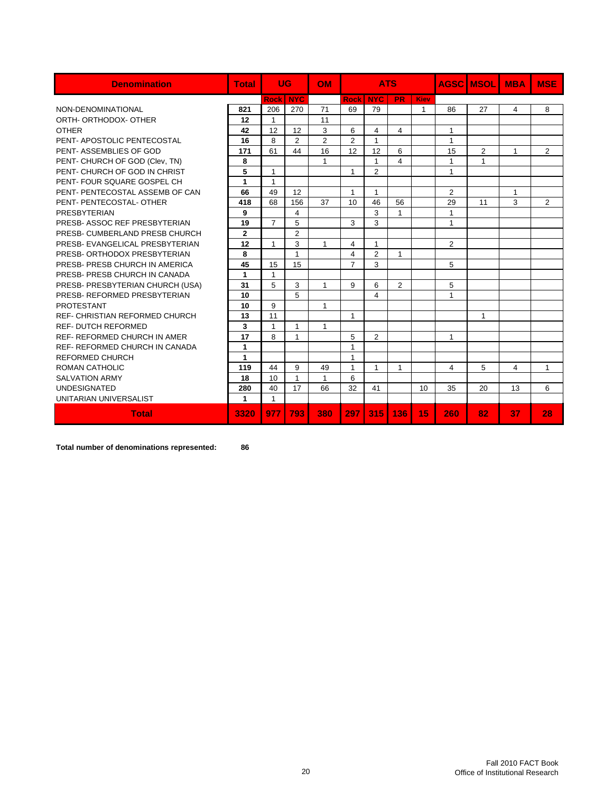| <b>Denomination</b>                   | <b>Total</b>         | UG             |                | <b>OM</b>      |                | <b>ATS</b>     |                |              |              | <b>AGSCIMSOLI</b> | <b>MBA</b>   | <b>MSE</b>     |
|---------------------------------------|----------------------|----------------|----------------|----------------|----------------|----------------|----------------|--------------|--------------|-------------------|--------------|----------------|
|                                       |                      | <b>Rock</b>    | <b>NYC</b>     |                | <b>Rock</b>    | <b>NYC</b>     | <b>PR</b>      | Kiev         |              |                   |              |                |
| NON-DENOMINATIONAL                    | 821                  | 206            | 270            | 71             | 69             | 79             |                | $\mathbf{1}$ | 86           | 27                | 4            | 8              |
| ORTH- ORTHODOX- OTHER                 | 12                   | 1              |                | 11             |                |                |                |              |              |                   |              |                |
| <b>OTHER</b>                          | 42                   | 12             | 12             | 3              | 6              | 4              | $\overline{4}$ |              | 1            |                   |              |                |
| PENT- APOSTOLIC PENTECOSTAL           | 16                   | 8              | $\overline{2}$ | $\overline{2}$ | $\overline{2}$ | $\mathbf{1}$   |                |              | $\mathbf{1}$ |                   |              |                |
| PENT-ASSEMBLIES OF GOD                | 171                  | 61             | 44             | 16             | 12             | 12             | 6              |              | 15           | $\overline{2}$    | $\mathbf{1}$ | $\overline{2}$ |
| PENT- CHURCH OF GOD (Clev, TN)        | 8                    |                |                | $\mathbf{1}$   |                | $\mathbf{1}$   | 4              |              | 1            | $\mathbf{1}$      |              |                |
| PENT- CHURCH OF GOD IN CHRIST         | 5                    | $\mathbf{1}$   |                |                | 1              | $\overline{2}$ |                |              | $\mathbf{1}$ |                   |              |                |
| PENT- FOUR SQUARE GOSPEL CH           | 1                    | $\mathbf{1}$   |                |                |                |                |                |              |              |                   |              |                |
| PENT- PENTECOSTAL ASSEMB OF CAN       | 66                   | 49             | 12             |                | 1              | $\mathbf{1}$   |                |              | 2            |                   | $\mathbf{1}$ |                |
| PENT- PENTECOSTAL- OTHER              | 418                  | 68             | 156            | 37             | 10             | 46             | 56             |              | 29           | 11                | 3            | $\overline{2}$ |
| PRESBYTERIAN                          | 9                    |                | 4              |                |                | 3              | $\mathbf{1}$   |              | $\mathbf{1}$ |                   |              |                |
| PRESB- ASSOC REF PRESBYTERIAN         | 19                   | $\overline{7}$ | 5              |                | 3              | 3              |                |              | $\mathbf{1}$ |                   |              |                |
| PRESB- CUMBERLAND PRESB CHURCH        | $\mathbf{2}$         |                | $\overline{2}$ |                |                |                |                |              |              |                   |              |                |
| PRESB- EVANGELICAL PRESBYTERIAN       | 12                   | 1              | 3              | $\mathbf 1$    | 4              | $\mathbf{1}$   |                |              | 2            |                   |              |                |
| PRESB- ORTHODOX PRESBYTERIAN          | 8                    |                | $\mathbf{1}$   |                | 4              | 2              | $\mathbf{1}$   |              |              |                   |              |                |
| PRESB- PRESB CHURCH IN AMERICA        | 45                   | 15             | 15             |                | $\overline{7}$ | 3              |                |              | 5            |                   |              |                |
| PRESB- PRESB CHURCH IN CANADA         | $\blacktriangleleft$ | $\mathbf{1}$   |                |                |                |                |                |              |              |                   |              |                |
| PRESB- PRESBYTERIAN CHURCH (USA)      | 31                   | 5              | 3              | $\mathbf 1$    | 9              | 6              | 2              |              | 5            |                   |              |                |
| PRESB- REFORMED PRESBYTERIAN          | 10                   |                | 5              |                |                | 4              |                |              | $\mathbf{1}$ |                   |              |                |
| <b>PROTESTANT</b>                     | 10                   | 9              |                | $\mathbf{1}$   |                |                |                |              |              |                   |              |                |
| <b>REF- CHRISTIAN REFORMED CHURCH</b> | 13                   | 11             |                |                | 1              |                |                |              |              | $\mathbf{1}$      |              |                |
| <b>REF- DUTCH REFORMED</b>            | 3                    | $\mathbf{1}$   | 1              | 1              |                |                |                |              |              |                   |              |                |
| <b>REF- REFORMED CHURCH IN AMER</b>   | 17                   | 8              | 1              |                | 5              | $\overline{2}$ |                |              | $\mathbf{1}$ |                   |              |                |
| <b>REF- REFORMED CHURCH IN CANADA</b> | 1                    |                |                |                | 1              |                |                |              |              |                   |              |                |
| <b>REFORMED CHURCH</b>                | 1                    |                |                |                | 1              |                |                |              |              |                   |              |                |
| <b>ROMAN CATHOLIC</b>                 | 119                  | 44             | 9              | 49             | 1              | $\mathbf{1}$   | $\mathbf{1}$   |              | 4            | 5                 | 4            | $\mathbf{1}$   |
| <b>SALVATION ARMY</b>                 | 18                   | 10             | $\mathbf{1}$   | $\mathbf{1}$   | 6              |                |                |              |              |                   |              |                |
| <b>UNDESIGNATED</b>                   | 280                  | 40             | 17             | 66             | 32             | 41             |                | 10           | 35           | 20                | 13           | 6              |
| UNITARIAN UNIVERSALIST                | 1                    | $\mathbf{1}$   |                |                |                |                |                |              |              |                   |              |                |
| <b>Total</b>                          | 3320                 | 977            | 793            | 380            | 297            | 315            | 136            | 15           | 260          | 82                | 37           | 28             |

**Total number of denominations represented: 86**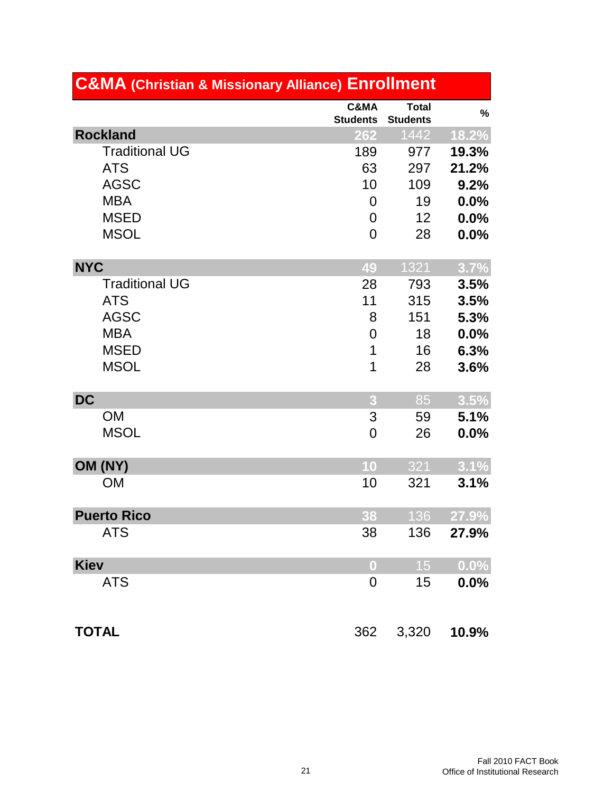| <b>C&amp;MA (Christian &amp; Missionary Alliance) Enrollment</b> |                         |                                 |         |  |  |  |  |  |
|------------------------------------------------------------------|-------------------------|---------------------------------|---------|--|--|--|--|--|
|                                                                  | C&MA<br><b>Students</b> | <b>Total</b><br><b>Students</b> | $\%$    |  |  |  |  |  |
| <b>Rockland</b>                                                  | 262                     | 1442                            | 18.2%   |  |  |  |  |  |
| <b>Traditional UG</b>                                            | 189                     | 977                             | 19.3%   |  |  |  |  |  |
| <b>ATS</b>                                                       | 63                      | 297                             | 21.2%   |  |  |  |  |  |
| <b>AGSC</b>                                                      | 10                      | 109                             | 9.2%    |  |  |  |  |  |
| <b>MBA</b>                                                       | $\overline{0}$          | 19                              | 0.0%    |  |  |  |  |  |
| <b>MSED</b>                                                      | $\overline{0}$          | 12                              | 0.0%    |  |  |  |  |  |
| <b>MSOL</b>                                                      | $\overline{0}$          | 28                              | 0.0%    |  |  |  |  |  |
| <b>NYC</b>                                                       | 49                      | 1321                            | 3.7%    |  |  |  |  |  |
| <b>Traditional UG</b>                                            | 28                      | 793                             | 3.5%    |  |  |  |  |  |
| <b>ATS</b>                                                       | 11                      | 315                             | 3.5%    |  |  |  |  |  |
| <b>AGSC</b>                                                      | 8                       | 151                             | 5.3%    |  |  |  |  |  |
| <b>MBA</b>                                                       | $\overline{0}$          | 18                              | 0.0%    |  |  |  |  |  |
| <b>MSED</b>                                                      | 1                       | 16                              | 6.3%    |  |  |  |  |  |
| <b>MSOL</b>                                                      | 1                       | 28                              | 3.6%    |  |  |  |  |  |
| <b>DC</b>                                                        | 3                       | 85                              | 3.5%    |  |  |  |  |  |
| <b>OM</b>                                                        | 3                       | 59                              | 5.1%    |  |  |  |  |  |
| <b>MSOL</b>                                                      | 0                       | 26                              | 0.0%    |  |  |  |  |  |
| OM (NY)                                                          | 10                      | 321                             | 3.1%    |  |  |  |  |  |
| <b>OM</b>                                                        | 10                      | 321                             | 3.1%    |  |  |  |  |  |
| <b>Puerto Rico</b>                                               | 38                      | 136                             | 27.9%   |  |  |  |  |  |
| <b>ATS</b>                                                       | 38                      | 136                             | 27.9%   |  |  |  |  |  |
| <b>Kiev</b>                                                      | $\bf{0}$                | 15                              | 0.0%    |  |  |  |  |  |
| <b>ATS</b>                                                       | $\mathbf 0$             | 15                              | $0.0\%$ |  |  |  |  |  |
| <b>TOTAL</b>                                                     | 362                     | 3,320                           | 10.9%   |  |  |  |  |  |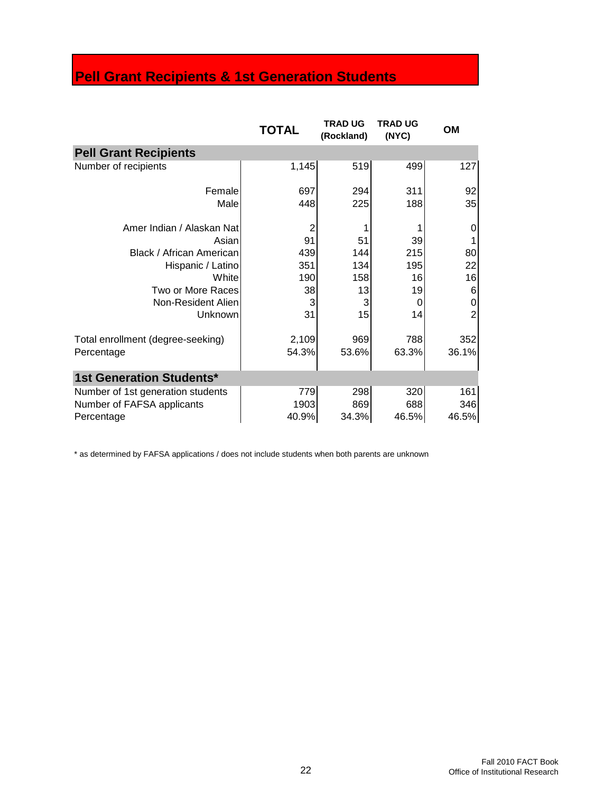# **Pell Grant Recipients & 1st Generation Students**

|                                   | <b>TOTAL</b> | <b>TRAD UG</b><br>(Rockland) | <b>TRAD UG</b><br>(NYC) | OM             |
|-----------------------------------|--------------|------------------------------|-------------------------|----------------|
| <b>Pell Grant Recipients</b>      |              |                              |                         |                |
| Number of recipients              | 1,145        | 519                          | 499                     | 127            |
| Female                            | 697          | 294                          | 311                     | 92             |
| Male                              | 448          | 225                          | 188                     | 35             |
| Amer Indian / Alaskan Nat         | 2            |                              |                         | 0              |
| Asian                             | 91           | 51                           | 39                      |                |
| Black / African American          | 439          | 144                          | 215                     | 80             |
| Hispanic / Latino                 | 351          | 134                          | 195                     | 22             |
| <b>White</b>                      | 190          | 158                          | 16                      | 16             |
| Two or More Races                 | 38           | 13                           | 19                      | 6              |
| Non-Resident Alien                | 3            | 3                            | O                       | 0              |
| <b>Unknown</b>                    | 31           | 15                           | 14                      | $\overline{2}$ |
| Total enrollment (degree-seeking) | 2,109        | 969                          | 788                     | 352            |
| Percentage                        | 54.3%        | 53.6%                        | 63.3%                   | 36.1%          |
| <b>1st Generation Students*</b>   |              |                              |                         |                |
| Number of 1st generation students | 779          | 298                          | 320                     | 161            |
| Number of FAFSA applicants        | 1903         | 869                          | 688                     | 346            |
| Percentage                        | 40.9%        | 34.3%                        | 46.5%                   | 46.5%          |

\* as determined by FAFSA applications / does not include students when both parents are unknown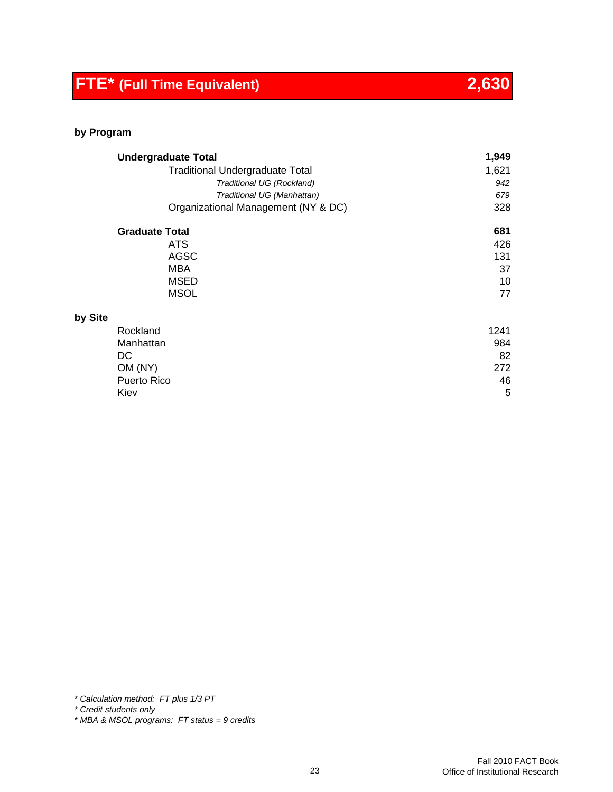# **FTE\* (Full Time Equivalent) 2,630**

#### **by Program**

|         | <b>Undergraduate Total</b>             | 1,949 |
|---------|----------------------------------------|-------|
|         | <b>Traditional Undergraduate Total</b> | 1,621 |
|         | Traditional UG (Rockland)              | 942   |
|         | Traditional UG (Manhattan)             | 679   |
|         | Organizational Management (NY & DC)    | 328   |
|         | <b>Graduate Total</b>                  | 681   |
|         | <b>ATS</b>                             | 426   |
|         | <b>AGSC</b>                            | 131   |
|         | MBA                                    | 37    |
|         | <b>MSED</b>                            | 10    |
|         | <b>MSOL</b>                            | 77    |
| by Site |                                        |       |
|         | Rockland                               | 1241  |
|         | Manhattan                              | 984   |
|         | DC                                     | 82    |
|         | OM (NY)                                | 272   |
|         | <b>Puerto Rico</b>                     | 46    |
|         | Kiev                                   | 5     |

*\* Calculation method: FT plus 1/3 PT*

*\* Credit students only*

*\* MBA & MSOL programs: FT status = 9 credits*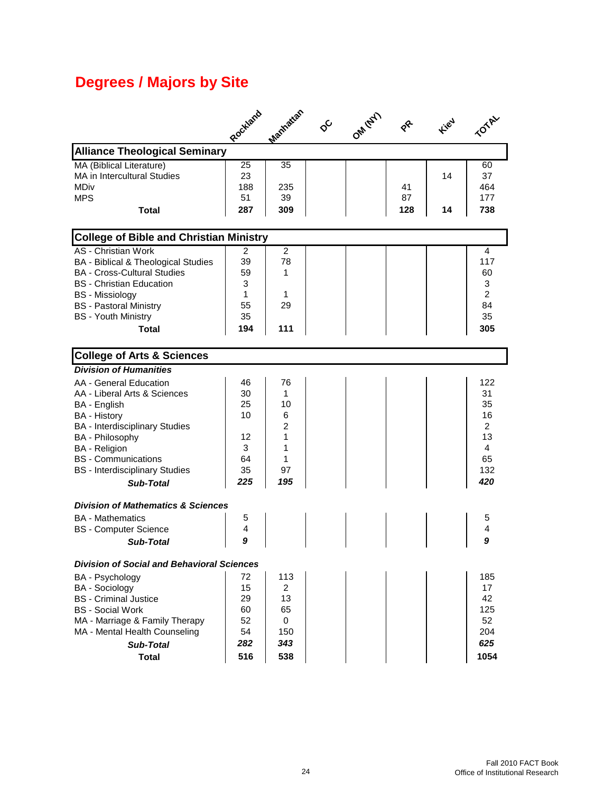# **Degrees / Majors by Site**

|                                                   | Rockland | Maritatan      | ଟ | OM (NY) |     | <b>Field</b> |                |
|---------------------------------------------------|----------|----------------|---|---------|-----|--------------|----------------|
| <b>Alliance Theological Seminary</b>              |          |                |   |         |     |              |                |
| MA (Biblical Literature)                          | 25       | 35             |   |         |     |              | 60             |
| MA in Intercultural Studies                       | 23       |                |   |         |     | 14           | 37             |
| MDiv                                              | 188      | 235            |   |         | 41  |              | 464            |
| <b>MPS</b>                                        | 51       | 39             |   |         | 87  |              | 177            |
| Total                                             | 287      | 309            |   |         | 128 | 14           | 738            |
| <b>College of Bible and Christian Ministry</b>    |          |                |   |         |     |              |                |
| <b>AS</b> - Christian Work                        | 2        | $\overline{c}$ |   |         |     |              | 4              |
| BA - Biblical & Theological Studies               | 39       | 78             |   |         |     |              | 117            |
| <b>BA - Cross-Cultural Studies</b>                | 59       | 1              |   |         |     |              | 60             |
| <b>BS</b> - Christian Education                   | 3        |                |   |         |     |              | 3              |
| <b>BS</b> - Missiology                            | 1        | 1              |   |         |     |              | $\overline{2}$ |
| <b>BS</b> - Pastoral Ministry                     | 55       | 29             |   |         |     |              | 84             |
| <b>BS</b> - Youth Ministry                        | 35       |                |   |         |     |              | 35             |
| Total                                             | 194      | 111            |   |         |     |              | 305            |
| <b>College of Arts &amp; Sciences</b>             |          |                |   |         |     |              |                |
| <b>Division of Humanities</b>                     |          |                |   |         |     |              |                |
| AA - General Education                            | 46       | 76             |   |         |     |              | 122            |
| AA - Liberal Arts & Sciences                      | 30       | 1              |   |         |     |              | 31             |
| BA - English                                      | 25       | 10             |   |         |     |              | 35             |
| <b>BA</b> - History                               | 10       | 6              |   |         |     |              | 16             |
| <b>BA</b> - Interdisciplinary Studies             |          | $\overline{2}$ |   |         |     |              | $\overline{2}$ |
| BA - Philosophy                                   | 12       | 1              |   |         |     |              | 13             |
| <b>BA</b> - Religion                              | 3        | 1              |   |         |     |              | 4              |
| <b>BS</b> - Communications                        | 64       | 1              |   |         |     |              | 65             |
| <b>BS</b> - Interdisciplinary Studies             | 35       | 97             |   |         |     |              | 132            |
| <b>Sub-Total</b>                                  | 225      | 195            |   |         |     |              | 420            |
|                                                   |          |                |   |         |     |              |                |
| <b>Division of Mathematics &amp; Sciences</b>     |          |                |   |         |     |              |                |
| <b>BA</b> - Mathematics                           | 5        |                |   |         |     |              | 5              |
| <b>BS</b> - Computer Science                      | 4        |                |   |         |     |              | 4              |
| <b>Sub-Total</b>                                  | 9        |                |   |         |     |              | 9              |
| <b>Division of Social and Behavioral Sciences</b> |          |                |   |         |     |              |                |
| BA - Psychology                                   | 72       | 113            |   |         |     |              | 185            |
| <b>BA</b> - Sociology                             | 15       | 2              |   |         |     |              | 17             |
| <b>BS</b> - Criminal Justice                      | 29       | 13             |   |         |     |              | 42             |
| <b>BS</b> - Social Work                           | 60       | 65             |   |         |     |              | 125            |
| MA - Marriage & Family Therapy                    | 52       | 0              |   |         |     |              | 52             |
| MA - Mental Health Counseling                     | 54       | 150            |   |         |     |              | 204            |
| <b>Sub-Total</b>                                  | 282      | 343            |   |         |     |              | 625            |
| <b>Total</b>                                      | 516      | 538            |   |         |     |              | 1054           |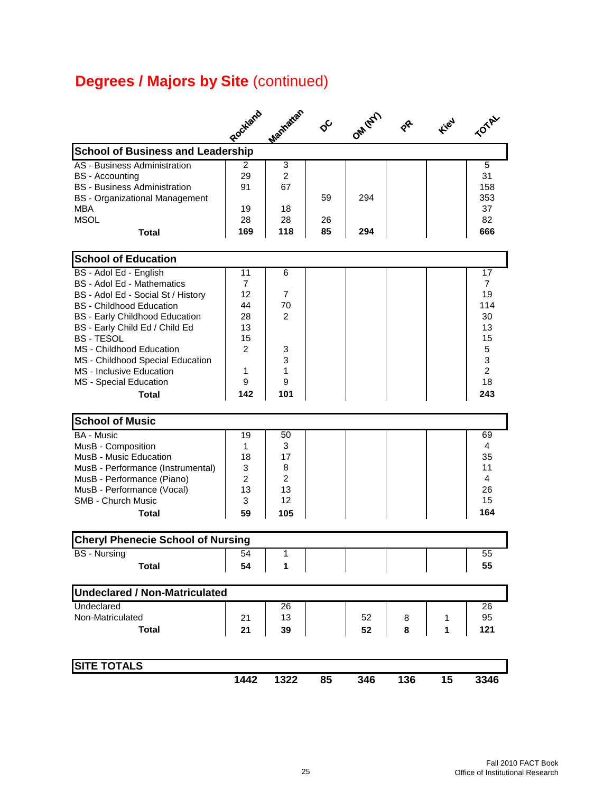# **Degrees / Majors by Site (continued)**

|                                                                                                                                                                                                                                                                                                                                                            | Rockland                                                                              | Manhatan                                                  | $\phi^{\mathcal{C}}$ | OM (NY)    |        | <b>Field</b> |                                                                                              |
|------------------------------------------------------------------------------------------------------------------------------------------------------------------------------------------------------------------------------------------------------------------------------------------------------------------------------------------------------------|---------------------------------------------------------------------------------------|-----------------------------------------------------------|----------------------|------------|--------|--------------|----------------------------------------------------------------------------------------------|
| <b>School of Business and Leadership</b>                                                                                                                                                                                                                                                                                                                   |                                                                                       |                                                           |                      |            |        |              |                                                                                              |
| AS - Business Administration<br><b>BS</b> - Accounting<br><b>BS</b> - Business Administration<br><b>BS</b> - Organizational Management<br><b>MBA</b><br><b>MSOL</b><br><b>Total</b>                                                                                                                                                                        | 2<br>29<br>91<br>19<br>28<br>169                                                      | 3<br>$\overline{2}$<br>67<br>18<br>28<br>118              | 59<br>26<br>85       | 294<br>294 |        |              | 5<br>31<br>158<br>353<br>37<br>82<br>666                                                     |
| <b>School of Education</b>                                                                                                                                                                                                                                                                                                                                 |                                                                                       |                                                           |                      |            |        |              |                                                                                              |
| BS - Adol Ed - English<br>BS - Adol Ed - Mathematics<br>BS - Adol Ed - Social St / History<br><b>BS</b> - Childhood Education<br><b>BS - Early Childhood Education</b><br>BS - Early Child Ed / Child Ed<br><b>BS-TESOL</b><br>MS - Childhood Education<br>MS - Childhood Special Education<br>MS - Inclusive Education<br>MS - Special Education<br>Total | 11<br>$\overline{7}$<br>12<br>44<br>28<br>13<br>15<br>$\overline{2}$<br>1<br>9<br>142 | 6<br>$\overline{7}$<br>70<br>2<br>3<br>3<br>1<br>9<br>101 |                      |            |        |              | 17<br>$\overline{7}$<br>19<br>114<br>30<br>13<br>15<br>5<br>3<br>$\overline{2}$<br>18<br>243 |
| <b>School of Music</b>                                                                                                                                                                                                                                                                                                                                     |                                                                                       |                                                           |                      |            |        |              |                                                                                              |
| <b>BA - Music</b><br>MusB - Composition<br>MusB - Music Education<br>MusB - Performance (Instrumental)<br>MusB - Performance (Piano)<br>MusB - Performance (Vocal)<br><b>SMB - Church Music</b><br>Total                                                                                                                                                   | 19<br>1<br>18<br>3<br>2<br>13<br>3<br>59                                              | 50<br>3<br>17<br>8<br>$\overline{2}$<br>13<br>12<br>105   |                      |            |        |              | 69<br>4<br>35<br>11<br>4<br>26<br>15<br>164                                                  |
| <b>Cheryl Phenecie School of Nursing</b>                                                                                                                                                                                                                                                                                                                   |                                                                                       |                                                           |                      |            |        |              |                                                                                              |
| <b>BS</b> - Nursing<br><b>Total</b>                                                                                                                                                                                                                                                                                                                        | 54<br>54                                                                              | 1<br>1                                                    |                      |            |        |              | 55<br>55                                                                                     |
| <b>Undeclared / Non-Matriculated</b>                                                                                                                                                                                                                                                                                                                       |                                                                                       |                                                           |                      |            |        |              |                                                                                              |
| Undeclared<br>Non-Matriculated<br><b>Total</b>                                                                                                                                                                                                                                                                                                             | 21<br>21                                                                              | 26<br>13<br>39                                            |                      | 52<br>52   | 8<br>8 | 1<br>1       | 26<br>95<br>121                                                                              |
| <b>SITE TOTALS</b>                                                                                                                                                                                                                                                                                                                                         | 1442                                                                                  | 1322                                                      | 85                   | 346        | 136    | 15           | 3346                                                                                         |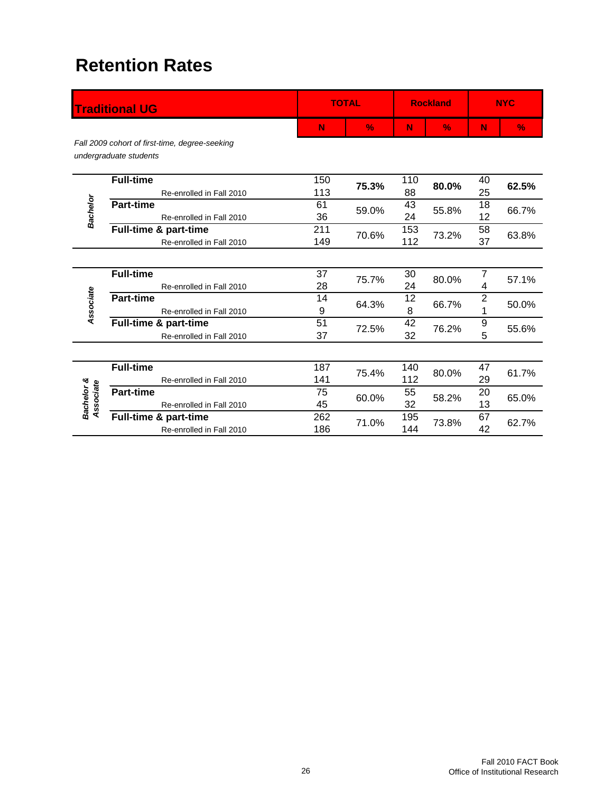# **Retention Rates**

|                         | <b>Traditional UG</b>                                                    |            | <b>TOTAL</b>  |            | <b>Rockland</b> |                     | <b>NYC</b>    |
|-------------------------|--------------------------------------------------------------------------|------------|---------------|------------|-----------------|---------------------|---------------|
|                         |                                                                          | N          | $\frac{9}{6}$ | N          | $\frac{0}{2}$   | N                   | $\frac{9}{6}$ |
|                         | Fall 2009 cohort of first-time, degree-seeking<br>undergraduate students |            |               |            |                 |                     |               |
|                         | <b>Full-time</b><br>Re-enrolled in Fall 2010                             | 150<br>113 | 75.3%         | 110<br>88  | 80.0%           | 40<br>25            | 62.5%         |
| Bachelor                | <b>Part-time</b><br>Re-enrolled in Fall 2010                             | 61<br>36   | 59.0%         | 43<br>24   | 55.8%           | 18<br>12            | 66.7%         |
|                         | Full-time & part-time<br>Re-enrolled in Fall 2010                        | 211<br>149 | 70.6%         | 153<br>112 | 73.2%           | 58<br>37            | 63.8%         |
|                         |                                                                          |            |               |            |                 |                     |               |
|                         | <b>Full-time</b><br>Re-enrolled in Fall 2010                             | 37<br>28   | 75.7%         | 30<br>24   | 80.0%           | 7<br>4              | 57.1%         |
| Associate               | <b>Part-time</b><br>Re-enrolled in Fall 2010                             | 14<br>9    | 64.3%         | 12<br>8    | 66.7%           | $\overline{2}$<br>1 | 50.0%         |
|                         | Full-time & part-time<br>Re-enrolled in Fall 2010                        | 51<br>37   | 72.5%         | 42<br>32   | 76.2%           | 9<br>5              | 55.6%         |
|                         |                                                                          |            |               |            |                 |                     |               |
|                         | <b>Full-time</b><br>Re-enrolled in Fall 2010                             | 187<br>141 | 75.4%         | 140<br>112 | 80.0%           | 47<br>29            | 61.7%         |
| Bachelor &<br>Associate | <b>Part-time</b><br>Re-enrolled in Fall 2010                             | 75<br>45   | 60.0%         | 55<br>32   | 58.2%           | 20<br>13            | 65.0%         |
|                         | Full-time & part-time<br>Re-enrolled in Fall 2010                        | 262<br>186 | 71.0%         | 195<br>144 | 73.8%           | 67<br>42            | 62.7%         |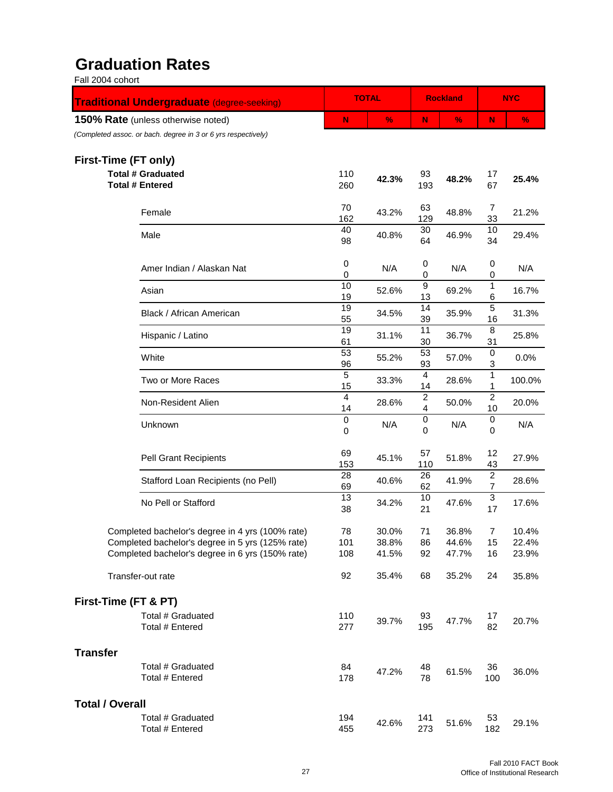#### **Graduation Rates** Fall 2004 cohort

| Fail 2004 conort                                              |                            |               |                                           |                 |                                  |               |
|---------------------------------------------------------------|----------------------------|---------------|-------------------------------------------|-----------------|----------------------------------|---------------|
| <b>Traditional Undergraduate (degree-seeking)</b>             |                            | <b>TOTAL</b>  |                                           | <b>Rockland</b> |                                  | <b>NYC</b>    |
| <b>150% Rate</b> (unless otherwise noted)                     | N                          | $\frac{9}{6}$ | N                                         | $\frac{0}{2}$   | N                                | $\frac{9}{6}$ |
| (Completed assoc. or bach. degree in 3 or 6 yrs respectively) |                            |               |                                           |                 |                                  |               |
| First-Time (FT only)                                          |                            |               |                                           |                 |                                  |               |
| <b>Total # Graduated</b>                                      | 110                        | 42.3%         | 93                                        | 48.2%           | 17                               | 25.4%         |
| <b>Total # Entered</b>                                        | 260                        |               | 193                                       |                 | 67                               |               |
| Female                                                        | 70                         | 43.2%         | 63                                        | 48.8%           | 7                                | 21.2%         |
|                                                               | 162<br>40                  |               | 129<br>30                                 |                 | 33<br>10                         |               |
| Male                                                          | 98                         | 40.8%         | 64                                        | 46.9%           | 34                               | 29.4%         |
| Amer Indian / Alaskan Nat                                     | 0<br>0                     | N/A           | 0<br>0                                    | N/A             | 0<br>0                           | N/A           |
| Asian                                                         | 10<br>19                   | 52.6%         | $\boldsymbol{9}$<br>13                    | 69.2%           | 1<br>6                           | 16.7%         |
| Black / African American                                      | 19<br>55                   | 34.5%         | $\overline{14}$<br>39                     | 35.9%           | $\overline{5}$<br>16             | 31.3%         |
| Hispanic / Latino                                             | 19<br>61                   | 31.1%         | 11<br>30                                  | 36.7%           | 8<br>31                          | 25.8%         |
| White                                                         | 53<br>96                   | 55.2%         | 53<br>93                                  | 57.0%           | 0<br>3                           | 0.0%          |
| Two or More Races                                             | 5<br>15                    | 33.3%         | 4<br>14                                   | 28.6%           | $\mathbf{1}$<br>$\mathbf{1}$     | 100.0%        |
| Non-Resident Alien                                            | $\overline{4}$<br>14       | 28.6%         | $\overline{2}$<br>$\overline{\mathbf{4}}$ | 50.0%           | $\overline{2}$<br>10             | 20.0%         |
| Unknown                                                       | $\mathsf 0$<br>$\mathbf 0$ | N/A           | $\pmb{0}$<br>0                            | N/A             | 0<br>$\mathbf 0$                 | N/A           |
| <b>Pell Grant Recipients</b>                                  | 69<br>153                  | 45.1%         | 57<br>110                                 | 51.8%           | 12<br>43                         | 27.9%         |
| Stafford Loan Recipients (no Pell)                            | 28<br>69                   | 40.6%         | 26<br>62                                  | 41.9%           | $\overline{c}$<br>$\overline{7}$ | 28.6%         |
| No Pell or Stafford                                           | 13<br>38                   | 34.2%         | 10<br>21                                  | 47.6%           | 3<br>17                          | 17.6%         |
| Completed bachelor's degree in 4 yrs (100% rate)              | 78                         | 30.0%         | 71                                        | 36.8%           | 7                                | 10.4%         |
| Completed bachelor's degree in 5 yrs (125% rate)              | 101                        | 38.8%         | 86                                        | 44.6%           | 15                               | 22.4%         |
| Completed bachelor's degree in 6 yrs (150% rate)              | 108                        | 41.5%         | 92                                        | 47.7%           | 16                               | 23.9%         |
| Transfer-out rate                                             | 92                         | 35.4%         | 68                                        | 35.2%           | 24                               | 35.8%         |
| First-Time (FT & PT)                                          |                            |               |                                           |                 |                                  |               |
| Total # Graduated<br>Total # Entered                          | 110<br>277                 | 39.7%         | 93<br>195                                 | 47.7%           | 17<br>82                         | 20.7%         |
| <b>Transfer</b>                                               |                            |               |                                           |                 |                                  |               |
| Total # Graduated<br>Total # Entered                          | 84<br>178                  | 47.2%         | 48<br>78                                  | 61.5%           | 36<br>100                        | 36.0%         |
| <b>Total / Overall</b>                                        |                            |               |                                           |                 |                                  |               |
| Total # Graduated<br>Total # Entered                          | 194<br>455                 | 42.6%         | 141<br>273                                | 51.6%           | 53<br>182                        | 29.1%         |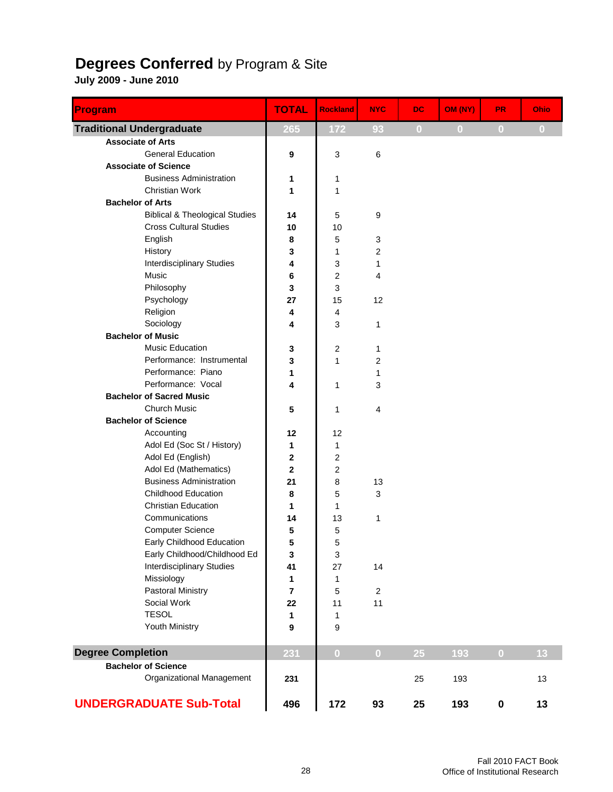#### **Degrees Conferred** by Program & Site

| <b>Program</b>                            | <b>TOTAL</b>     | <b>Rockland</b>           | <b>NYC</b>              | DC.          | OM (NY)      | <b>PR</b>      | Ohio     |
|-------------------------------------------|------------------|---------------------------|-------------------------|--------------|--------------|----------------|----------|
| <b>Traditional Undergraduate</b>          | 265              | 172                       | 93                      | $\mathbf{0}$ | $\mathbf{0}$ | $\overline{0}$ | $\bf{0}$ |
| <b>Associate of Arts</b>                  |                  |                           |                         |              |              |                |          |
| <b>General Education</b>                  | 9                | 3                         | $\,6$                   |              |              |                |          |
| <b>Associate of Science</b>               |                  |                           |                         |              |              |                |          |
| <b>Business Administration</b>            | 1                | 1                         |                         |              |              |                |          |
| <b>Christian Work</b>                     | 1                | 1                         |                         |              |              |                |          |
| <b>Bachelor of Arts</b>                   |                  |                           |                         |              |              |                |          |
| <b>Biblical &amp; Theological Studies</b> | 14               | 5                         | 9                       |              |              |                |          |
| <b>Cross Cultural Studies</b>             | 10               | 10                        |                         |              |              |                |          |
| English                                   | 8                | 5                         | 3                       |              |              |                |          |
| History                                   | 3                | 1                         | $\overline{\mathbf{c}}$ |              |              |                |          |
| <b>Interdisciplinary Studies</b>          | 4                | 3                         | 1                       |              |              |                |          |
| Music                                     | 6                | $\boldsymbol{2}$          | 4                       |              |              |                |          |
| Philosophy                                | 3                | $\ensuremath{\mathsf{3}}$ |                         |              |              |                |          |
| Psychology                                | 27               | 15                        | 12                      |              |              |                |          |
| Religion<br>Sociology                     | 4                | $\overline{\mathbf{4}}$   |                         |              |              |                |          |
| <b>Bachelor of Music</b>                  | 4                | 3                         | $\mathbf{1}$            |              |              |                |          |
| <b>Music Education</b>                    |                  |                           |                         |              |              |                |          |
| Performance: Instrumental                 | 3                | 2<br>$\mathbf{1}$         | 1                       |              |              |                |          |
| Performance: Piano                        | 3<br>1           |                           | $\overline{2}$<br>1     |              |              |                |          |
| Performance: Vocal                        | 4                | 1                         | 3                       |              |              |                |          |
| <b>Bachelor of Sacred Music</b>           |                  |                           |                         |              |              |                |          |
| <b>Church Music</b>                       | 5                | 1                         | $\overline{4}$          |              |              |                |          |
| <b>Bachelor of Science</b>                |                  |                           |                         |              |              |                |          |
| Accounting                                | 12               | 12                        |                         |              |              |                |          |
| Adol Ed (Soc St / History)                | 1                | 1                         |                         |              |              |                |          |
| Adol Ed (English)                         | $\mathbf 2$      | $\overline{2}$            |                         |              |              |                |          |
| Adol Ed (Mathematics)                     | $\mathbf 2$      | 2                         |                         |              |              |                |          |
| <b>Business Administration</b>            | 21               | 8                         | 13                      |              |              |                |          |
| <b>Childhood Education</b>                | 8                | 5                         | 3                       |              |              |                |          |
| <b>Christian Education</b>                | 1                | 1                         |                         |              |              |                |          |
| Communications                            | 14               | 13                        | 1                       |              |              |                |          |
| <b>Computer Science</b>                   | 5                | 5                         |                         |              |              |                |          |
| Early Childhood Education                 | 5                | 5                         |                         |              |              |                |          |
| Early Childhood/Childhood Ed              | 3                | 3                         |                         |              |              |                |          |
| <b>Interdisciplinary Studies</b>          | 41               | 27                        | 14                      |              |              |                |          |
| Missiology                                | 1                | 1                         |                         |              |              |                |          |
| <b>Pastoral Ministry</b>                  | $\overline{7}$   | 5                         | $\overline{2}$          |              |              |                |          |
| Social Work                               | 22               | 11                        | 11                      |              |              |                |          |
| <b>TESOL</b>                              | 1                | 1                         |                         |              |              |                |          |
| Youth Ministry                            | $\boldsymbol{9}$ | 9                         |                         |              |              |                |          |
| <b>Degree Completion</b>                  | 231              | $\overline{0}$            | $\overline{0}$          | 25           | 193          | $\overline{0}$ | 13       |
| <b>Bachelor of Science</b>                |                  |                           |                         |              |              |                |          |
| Organizational Management                 | 231              |                           |                         | 25           | 193          |                | 13       |
| <b>UNDERGRADUATE Sub-Total</b>            | 496              | 172                       | 93                      | 25           | 193          | $\pmb{0}$      | 13       |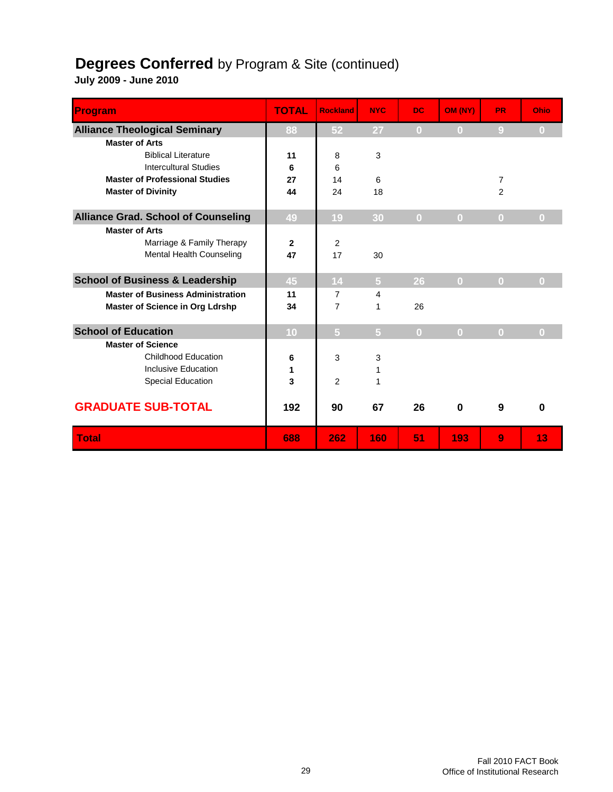### **Degrees Conferred** by Program & Site (continued)

| Program                                    | <b>TOTAL</b> | <b>Rockland</b> | <b>NYC</b>     | <b>DC</b>      | OM (NY)        | <b>PR</b>      | Ohio     |
|--------------------------------------------|--------------|-----------------|----------------|----------------|----------------|----------------|----------|
| <b>Alliance Theological Seminary</b>       | 88           | 52              | 27             | $\bf{0}$       | $\bf{0}$       | $\overline{9}$ | $\bf{0}$ |
| <b>Master of Arts</b>                      |              |                 |                |                |                |                |          |
| <b>Biblical Literature</b>                 | 11           | 8               | 3              |                |                |                |          |
| <b>Intercultural Studies</b>               | 6            | 6               |                |                |                |                |          |
| <b>Master of Professional Studies</b>      | 27           | 14              | 6              |                |                | $\overline{7}$ |          |
| <b>Master of Divinity</b>                  | 44           | 24              | 18             |                |                | $\overline{2}$ |          |
| <b>Alliance Grad. School of Counseling</b> | 49           | 19              | 30             | $\mathbf{0}$   | $\bf{0}$       | $\bf{0}$       | $\bf{0}$ |
| <b>Master of Arts</b>                      |              |                 |                |                |                |                |          |
| Marriage & Family Therapy                  | $\mathbf{2}$ | $\overline{2}$  |                |                |                |                |          |
| Mental Health Counseling                   | 47           | 17              | 30             |                |                |                |          |
| <b>School of Business &amp; Leadership</b> | 45           | 14              | 5              | 26             | $\overline{0}$ | $\overline{0}$ | $\Omega$ |
| <b>Master of Business Administration</b>   | 11           | $\overline{7}$  | 4              |                |                |                |          |
| Master of Science in Org Ldrshp            | 34           | 7               | 1              | 26             |                |                |          |
| <b>School of Education</b>                 | 10           | $\overline{5}$  | $\overline{5}$ | $\overline{0}$ | $\overline{0}$ | $\bf{0}$       | $\bf{0}$ |
| <b>Master of Science</b>                   |              |                 |                |                |                |                |          |
| <b>Childhood Education</b>                 | 6            | 3               | 3              |                |                |                |          |
| Inclusive Education                        | 1            |                 | 1              |                |                |                |          |
| <b>Special Education</b>                   | 3            | $\overline{2}$  | 1              |                |                |                |          |
| <b>GRADUATE SUB-TOTAL</b>                  | 192          | 90              | 67             | 26             | $\bf{0}$       | 9              | $\bf{0}$ |
| <b>Total</b>                               | 688          | 262             | 160            | 51             | 193            | 9              | 13       |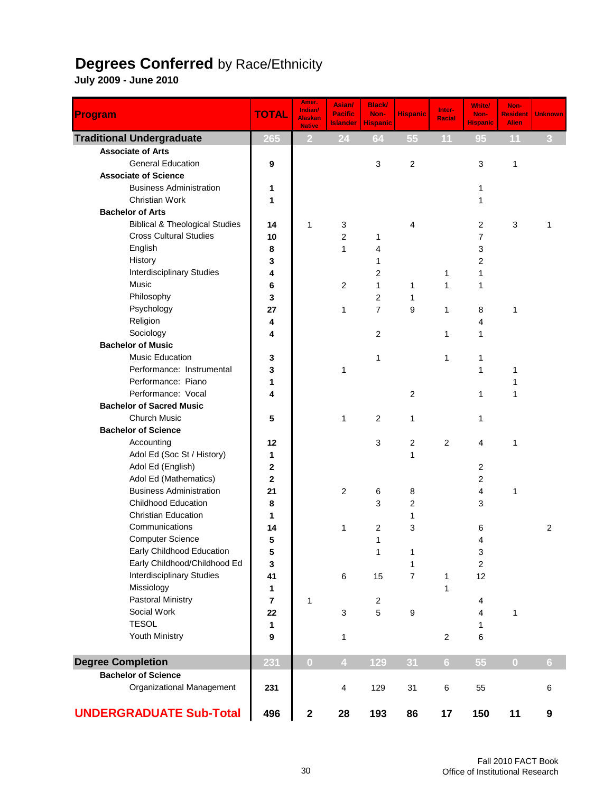#### **Degrees Conferred** by Race/Ethnicity

| Program                                   | <b>TOTAL</b>            | Amer.<br>Indian/<br><b>Alaskan</b><br><b>Native</b> | Asian/<br><b>Pacific</b><br><b>Islander</b> | <b>Black/</b><br>Non-<br><b>Hispanic</b> | <b>Hispanic</b>  | Inter-<br><b>Racial</b> | <b>White/</b><br>Non-<br><b>Hispanic</b> | Non-<br><b>Resident</b><br><b>Alien</b> | <b>Unknown</b> |
|-------------------------------------------|-------------------------|-----------------------------------------------------|---------------------------------------------|------------------------------------------|------------------|-------------------------|------------------------------------------|-----------------------------------------|----------------|
| <b>Traditional Undergraduate</b>          | 265                     | 2                                                   | 24                                          | 64                                       | 55               | 11                      | 95                                       | 11                                      | 3              |
| <b>Associate of Arts</b>                  |                         |                                                     |                                             |                                          |                  |                         |                                          |                                         |                |
| <b>General Education</b>                  | 9                       |                                                     |                                             | 3                                        | $\boldsymbol{2}$ |                         | 3                                        | 1                                       |                |
| <b>Associate of Science</b>               |                         |                                                     |                                             |                                          |                  |                         |                                          |                                         |                |
| <b>Business Administration</b>            | 1                       |                                                     |                                             |                                          |                  |                         | 1                                        |                                         |                |
| <b>Christian Work</b>                     | 1                       |                                                     |                                             |                                          |                  |                         | 1                                        |                                         |                |
| <b>Bachelor of Arts</b>                   |                         |                                                     |                                             |                                          |                  |                         |                                          |                                         |                |
| <b>Biblical &amp; Theological Studies</b> | 14                      | 1                                                   | 3                                           |                                          | 4                |                         | $\overline{2}$                           | 3                                       | 1              |
| <b>Cross Cultural Studies</b>             | 10                      |                                                     | $\overline{2}$                              | 1                                        |                  |                         | 7                                        |                                         |                |
| English                                   | 8                       |                                                     | 1                                           | 4                                        |                  |                         | 3                                        |                                         |                |
| History                                   | 3                       |                                                     |                                             | 1                                        |                  |                         | 2                                        |                                         |                |
| <b>Interdisciplinary Studies</b>          | 4                       |                                                     |                                             | 2                                        |                  | 1                       | 1                                        |                                         |                |
| Music                                     | 6                       |                                                     | $\overline{2}$                              | 1                                        | 1                | 1                       | 1                                        |                                         |                |
| Philosophy                                | 3                       |                                                     |                                             | 2                                        | 1                |                         |                                          |                                         |                |
| Psychology                                | 27                      |                                                     | 1                                           | $\overline{7}$                           | 9                | 1                       | 8                                        | 1                                       |                |
| Religion                                  | 4                       |                                                     |                                             |                                          |                  |                         | 4                                        |                                         |                |
| Sociology                                 | 4                       |                                                     |                                             | $\overline{2}$                           |                  | 1                       | 1                                        |                                         |                |
| <b>Bachelor of Music</b>                  |                         |                                                     |                                             |                                          |                  |                         |                                          |                                         |                |
| <b>Music Education</b>                    | 3                       |                                                     |                                             | 1                                        |                  | 1                       | 1                                        |                                         |                |
| Performance: Instrumental                 | 3                       |                                                     | 1                                           |                                          |                  |                         | 1                                        | 1                                       |                |
| Performance: Piano                        | 1                       |                                                     |                                             |                                          |                  |                         |                                          | 1                                       |                |
| Performance: Vocal                        | 4                       |                                                     |                                             |                                          | $\overline{c}$   |                         | 1                                        | 1                                       |                |
| <b>Bachelor of Sacred Music</b>           |                         |                                                     |                                             |                                          |                  |                         |                                          |                                         |                |
| <b>Church Music</b>                       | 5                       |                                                     | 1                                           | 2                                        | $\mathbf 1$      |                         | 1                                        |                                         |                |
| <b>Bachelor of Science</b>                |                         |                                                     |                                             |                                          |                  |                         |                                          |                                         |                |
| Accounting                                | 12                      |                                                     |                                             | 3                                        | $\overline{c}$   | 2                       | 4                                        | 1                                       |                |
| Adol Ed (Soc St / History)                | 1                       |                                                     |                                             |                                          | 1                |                         |                                          |                                         |                |
| Adol Ed (English)                         | 2                       |                                                     |                                             |                                          |                  |                         | 2                                        |                                         |                |
| Adol Ed (Mathematics)                     | 2                       |                                                     |                                             |                                          |                  |                         | 2                                        |                                         |                |
| <b>Business Administration</b>            | 21                      |                                                     | 2                                           | 6                                        | 8                |                         | $\overline{4}$                           | 1                                       |                |
| <b>Childhood Education</b>                | 8                       |                                                     |                                             | 3                                        | $\overline{c}$   |                         | 3                                        |                                         |                |
| <b>Christian Education</b>                | 1                       |                                                     |                                             |                                          | 1                |                         |                                          |                                         |                |
| Communications                            | 14                      |                                                     | 1                                           | $\overline{2}$                           | 3                |                         | 6                                        |                                         | 2              |
| <b>Computer Science</b>                   | 5                       |                                                     |                                             | 1                                        |                  |                         | 4                                        |                                         |                |
| Early Childhood Education                 | 5                       |                                                     |                                             | 1                                        | $\mathbf 1$      |                         | 3                                        |                                         |                |
| Early Childhood/Childhood Ed              | 3                       |                                                     |                                             |                                          | $\mathbf{1}$     |                         | $\overline{\mathbf{c}}$                  |                                         |                |
| <b>Interdisciplinary Studies</b>          | 41                      |                                                     | 6                                           | 15                                       | $\overline{7}$   | $\mathbf{1}$            | 12                                       |                                         |                |
| Missiology                                | 1                       |                                                     |                                             |                                          |                  | 1                       |                                          |                                         |                |
| Pastoral Ministry                         | $\overline{\mathbf{r}}$ | 1                                                   |                                             | $\overline{c}$                           |                  |                         | 4                                        |                                         |                |
| Social Work                               | 22                      |                                                     | 3                                           | 5                                        | 9                |                         | 4                                        | 1                                       |                |
| <b>TESOL</b>                              | 1                       |                                                     |                                             |                                          |                  |                         | 1                                        |                                         |                |
| Youth Ministry                            | 9                       |                                                     | 1                                           |                                          |                  | $\overline{2}$          | 6                                        |                                         |                |
| <b>Degree Completion</b>                  | 231                     | $\overline{0}$                                      | $\overline{4}$                              | 129                                      | 31               | 6 <sup>1</sup>          | 55                                       | $\bf{0}$                                | 6 <sup>1</sup> |
| <b>Bachelor of Science</b>                |                         |                                                     |                                             |                                          |                  |                         |                                          |                                         |                |
| Organizational Management                 | 231                     |                                                     | 4                                           | 129                                      | 31               | 6                       | 55                                       |                                         | 6              |
| <b>UNDERGRADUATE Sub-Total</b>            | 496                     | $\mathbf 2$                                         | 28                                          | 193                                      | 86               | 17                      | 150                                      | 11                                      | 9              |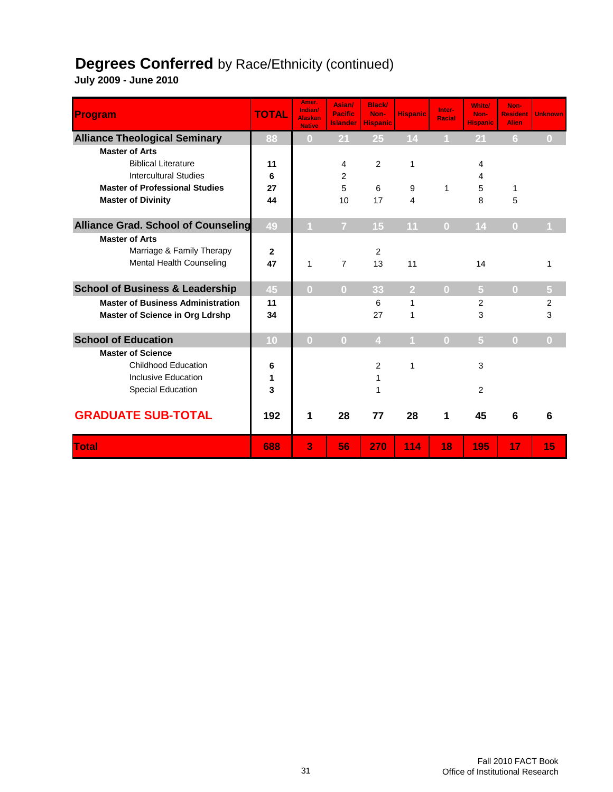#### **Degrees Conferred** by Race/Ethnicity (continued)

| Program                                    | <b>TOTAL</b>   | Amer.<br>Indian/<br><b>Alaskan</b><br><b>Native</b> | Asian/<br><b>Pacific</b><br><b>Islander</b> | <b>Black/</b><br>Non-<br><b>Hispanic</b> | <b>Hispanic</b> | Inter-<br><b>Racial</b> | <b>White/</b><br>Non-<br><b>Hispanic</b> | Non-<br><b>Resident</b><br><b>Alien</b> | <b>Unknown</b>    |
|--------------------------------------------|----------------|-----------------------------------------------------|---------------------------------------------|------------------------------------------|-----------------|-------------------------|------------------------------------------|-----------------------------------------|-------------------|
| <b>Alliance Theological Seminary</b>       | 88             | $\bf{0}$                                            | 21                                          | 25                                       | 14              |                         | 21                                       | 6                                       | $\left( 0\right)$ |
| <b>Master of Arts</b>                      |                |                                                     |                                             |                                          |                 |                         |                                          |                                         |                   |
| <b>Biblical Literature</b>                 | 11             |                                                     | 4                                           | 2                                        | 1               |                         | 4                                        |                                         |                   |
| <b>Intercultural Studies</b>               | 6              |                                                     | 2                                           |                                          |                 |                         | 4                                        |                                         |                   |
| <b>Master of Professional Studies</b>      | 27             |                                                     | 5                                           | 6                                        | 9               | 1                       | 5                                        | $\mathbf{1}$                            |                   |
| <b>Master of Divinity</b>                  | 44             |                                                     | 10                                          | 17                                       | 4               |                         | 8                                        | 5                                       |                   |
| <b>Alliance Grad. School of Counseling</b> | 49             |                                                     | $\overline{7}$                              | 15                                       | 11              | $\overline{0}$          | 14                                       | $\Omega$                                |                   |
| <b>Master of Arts</b>                      |                |                                                     |                                             |                                          |                 |                         |                                          |                                         |                   |
| Marriage & Family Therapy                  | $\overline{2}$ |                                                     |                                             | 2                                        |                 |                         |                                          |                                         |                   |
| Mental Health Counseling                   | 47             | 1                                                   | $\overline{7}$                              | 13                                       | 11              |                         | 14                                       |                                         | 1                 |
| <b>School of Business &amp; Leadership</b> | 45             | $\overline{0}$                                      | $\overline{0}$                              | 33                                       | $\overline{2}$  | $\Omega$                | $\overline{5}$                           | $\overline{0}$                          | $\overline{5}$    |
| <b>Master of Business Administration</b>   | 11             |                                                     |                                             | 6                                        | $\mathbf{1}$    |                         | $\overline{2}$                           |                                         | $\overline{2}$    |
| <b>Master of Science in Org Ldrshp</b>     | 34             |                                                     |                                             | 27                                       | $\mathbf{1}$    |                         | 3                                        |                                         | 3                 |
| <b>School of Education</b>                 | 10             | $\overline{0}$                                      | $\overline{0}$                              | $\overline{4}$                           | 4               | $\Omega$                | $\overline{5}$                           | $\mathbf{0}$                            | $\overline{0}$    |
| <b>Master of Science</b>                   |                |                                                     |                                             |                                          |                 |                         |                                          |                                         |                   |
| <b>Childhood Education</b>                 | 6              |                                                     |                                             | 2                                        | $\mathbf{1}$    |                         | 3                                        |                                         |                   |
| Inclusive Education                        | 1              |                                                     |                                             | 1                                        |                 |                         |                                          |                                         |                   |
| Special Education                          | 3              |                                                     |                                             | 1                                        |                 |                         | 2                                        |                                         |                   |
| <b>GRADUATE SUB-TOTAL</b>                  | 192            | 1                                                   | 28                                          | 77                                       | 28              | 1                       | 45                                       | 6                                       | 6                 |
| Total                                      | 688            | 3                                                   | 56                                          | 270                                      | 114             | 18                      | 195                                      | 17                                      | 15                |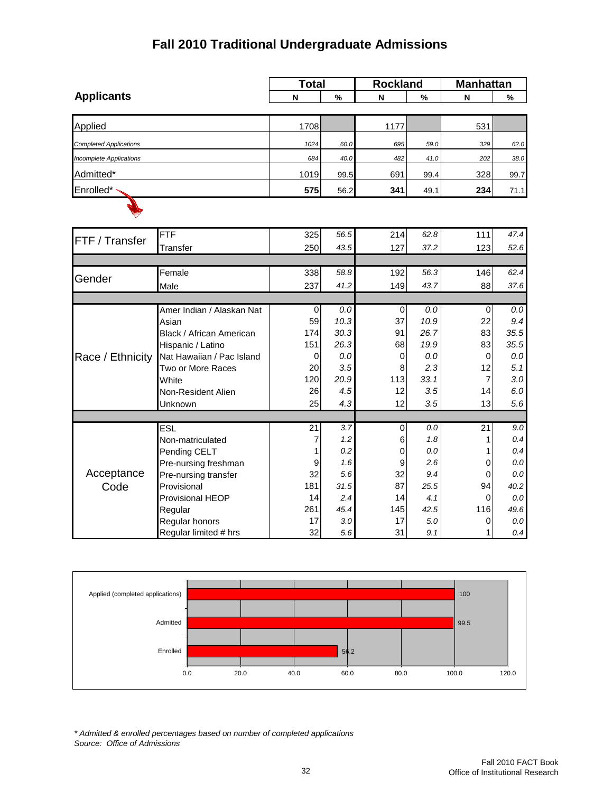#### **Fall 2010 Traditional Undergraduate Admissions**

|                                |                                   | <b>Total</b> |                 | <b>Rockland</b> |             | <b>Manhattan</b> |                |  |
|--------------------------------|-----------------------------------|--------------|-----------------|-----------------|-------------|------------------|----------------|--|
| <b>Applicants</b>              |                                   | N            | %               | N               | %           | N                | %              |  |
|                                |                                   |              |                 |                 |             |                  |                |  |
| Applied                        |                                   | 1708         |                 | 1177            |             | 531              |                |  |
| <b>Completed Applications</b>  |                                   | 1024         | 60.0            | 695             | 59.0        | 329              | 62.0           |  |
| <b>Incomplete Applications</b> |                                   | 684          | 40.0            | 482             | 41.0        | 202              | 38.0           |  |
| Admitted*                      |                                   | 1019         | 99.5            | 691             | 99.4        | 328              | 99.7           |  |
| Enrolled*                      |                                   | 575          | 56.2            | 341             | 49.1        | 234              | 71.1           |  |
|                                |                                   |              |                 |                 |             |                  |                |  |
|                                | <b>FTF</b>                        | 325          | 56.5            | 214             | 62.8        | 111              | 47.4           |  |
| FTF / Transfer                 | Transfer                          | 250          | 43.5            | 127             | 37.2        | 123              | 52.6           |  |
|                                |                                   |              |                 |                 |             |                  |                |  |
| Gender                         | Female                            | 338          | 58.8            | 192             | 56.3        | 146              | 62.4           |  |
|                                | Male                              | 237          | 41.2            | 149             | 43.7        | 88               | 37.6           |  |
|                                |                                   |              |                 |                 |             |                  |                |  |
|                                | Amer Indian / Alaskan Nat         | 0<br>59      | $0.0\,$<br>10.3 | 0<br>37         | 0.0<br>10.9 | 0<br>22          | $0.0\,$<br>9.4 |  |
|                                | Asian<br>Black / African American | 174          | 30.3            | 91              | 26.7        | 83               | 35.5           |  |
|                                | Hispanic / Latino                 | 151          | 26.3            | 68              | 19.9        | 83               | 35.5           |  |
| Race / Ethnicity               | Nat Hawaiian / Pac Island         | 0            | 0.0             | 0               | 0.0         | 0                | 0.0            |  |
|                                | Two or More Races                 | 20           | 3.5             | 8               | 2.3         | 12               | 5.1            |  |
|                                | White                             | 120          | 20.9            | 113             | 33.1        | $\overline{7}$   | 3.0            |  |
|                                | Non-Resident Alien                | 26           | 4.5             | 12              | 3.5         | 14               | 6.0            |  |
|                                | Unknown                           | 25           | 4.3             | 12              | 3.5         | 13               | 5.6            |  |
|                                |                                   |              |                 |                 |             |                  |                |  |
|                                | ESL                               | 21           | 3.7             | $\pmb{0}$       | 0.0         | 21               | 9.0            |  |
|                                | Non-matriculated                  | 7            | 1.2             | 6               | 1.8         | 1                | 0.4            |  |
|                                | Pending CELT                      | 1            | 0.2             | 0               | 0.0         | 1                | 0.4            |  |
| Pre-nursing freshman           |                                   | 9            | 1.6             | 9               | 2.6         | 0                | $0.0\,$        |  |
| Acceptance                     | Pre-nursing transfer              | 32           | 5.6             | 32              | 9.4         | 0                | $0.0\,$        |  |
| Code<br>Provisional            |                                   | 181          | 31.5            | 87              | 25.5        | 94               | 40.2           |  |
|                                | Provisional HEOP                  | 14           | 2.4             | 14              | 4.1         | 0                | $0.0\,$        |  |
|                                | Regular                           | 261          | 45.4            | 145             | 42.5        | 116              | 49.6           |  |
|                                | Regular honors                    | 17           | 3.0             | 17              | 5.0         | 0                | 0.0            |  |
|                                | Regular limited # hrs             | 32           | 5.6             | 31              | 9.1         | 1                | 0.4            |  |



*\* Admitted & enrolled percentages based on number of completed applications Source: Office of Admissions*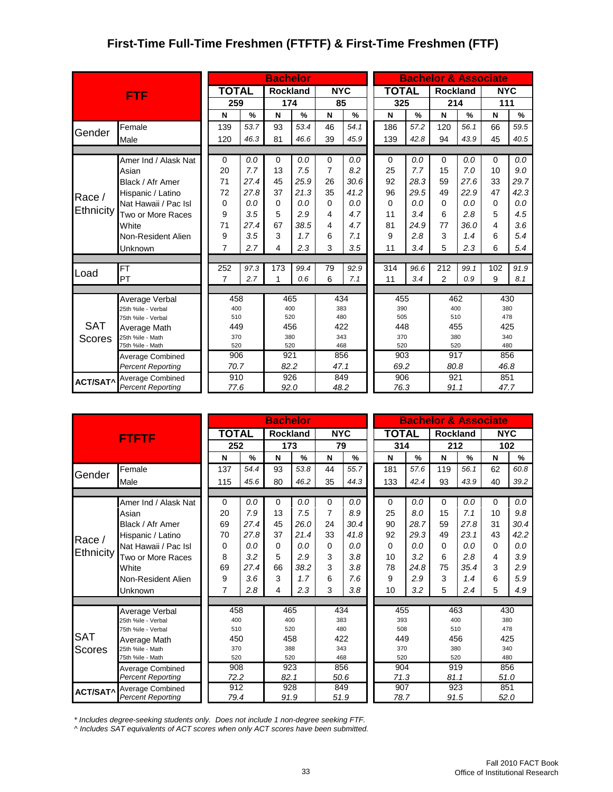#### **First-Time Full-Time Freshmen (FTFTF) & First-Time Freshmen (FTF)**

|                 |                                          |              |                |          | <b>Bachelor</b> |               |                |               | <b>Bachelor &amp; Associate</b> |      |                |                                                                                                                                                                  |          |               |
|-----------------|------------------------------------------|--------------|----------------|----------|-----------------|---------------|----------------|---------------|---------------------------------|------|----------------|------------------------------------------------------------------------------------------------------------------------------------------------------------------|----------|---------------|
|                 | <b>FTF</b>                               |              | <b>TOTAL</b>   |          | <b>Rockland</b> |               | <b>NYC</b>     |               | <b>TOTAL</b>                    |      |                |                                                                                                                                                                  |          |               |
|                 |                                          |              | 259            |          | 174             |               | 85             |               | 325                             |      |                |                                                                                                                                                                  |          |               |
|                 |                                          |              | N              | %        | N               | $\frac{9}{6}$ | N              | $\frac{9}{6}$ | N                               | %    | N              | $\frac{9}{6}$                                                                                                                                                    | N        | $\frac{9}{6}$ |
| Gender          | Female                                   |              | 139            | 53.7     | 93              | 53.4          | 46             | 54.1          | 186                             | 57.2 | 120            | 56.1                                                                                                                                                             | 66       | 59.5          |
|                 | Male                                     |              | 120            | 46.3     | 81              | 46.6          | 39             | 45.9          | 139                             | 42.8 | 94             | 43.9                                                                                                                                                             | 45       | 40.5          |
|                 |                                          |              |                |          |                 |               |                |               |                                 |      |                |                                                                                                                                                                  |          |               |
|                 | Amer Ind / Alask Nat                     |              | $\Omega$       | 0.0      | $\Omega$        | 0.0           | $\Omega$       | 0.0           | $\Omega$                        | 0.0  | $\Omega$       | 0.0                                                                                                                                                              | $\Omega$ | 0.0           |
|                 | Asian                                    |              | 20             | 7.7      | 13              | 7.5           | $\overline{7}$ | 8.2           | 25                              | 7.7  | 15             | 7.0                                                                                                                                                              | 10       | 9.0           |
|                 | Black / Afr Amer                         |              | 71             | 27.4     | 45              | 25.9          | 26             | 30.6          | 92                              | 28.3 | 59             | 27.6                                                                                                                                                             | 33       | 29.7          |
| Race /          | Hispanic / Latino                        |              | 72             | 27.8     | 37              | 21.3          | 35             | 41.2          | 96                              | 29.5 | 49             | 22.9                                                                                                                                                             | 47       | 42.3          |
|                 | Nat Hawaii / Pac Isl                     |              | 0              | 0.0      | $\Omega$        | 0.0           | $\Omega$       | 0.0           | $\Omega$                        | 0.0  | 0              | 0.0                                                                                                                                                              | $\Omega$ | 0.0           |
| Ethnicity       | Two or More Races                        |              | 9              | 3.5      | 5               | 2.9           | 4              | 4.7           | 11                              | 3.4  | 6              | 2.8                                                                                                                                                              | 5        | 4.5           |
|                 | White                                    |              | 27.4<br>71     |          | 67              | 38.5          | 4              | 4.7           | 81                              | 24.9 | 77             | 36.0                                                                                                                                                             | 4        | 3.6           |
|                 | Non-Resident Alien                       |              | 9              | 3.5<br>3 |                 | 1.7           | 6              | 7.1           | 9                               | 2.8  | 3              | 1.4                                                                                                                                                              | 6        | 5.4           |
|                 | Unknown                                  |              | 7              | 2.7      | 4               | 2.3           | 3              | 3.5           | 11                              | 3.4  | 5              | 2.3                                                                                                                                                              | 6        | 5.4           |
|                 |                                          |              |                |          |                 |               |                |               |                                 |      |                |                                                                                                                                                                  |          |               |
| Load            | <b>FT</b>                                |              | 252            | 97.3     | 173             | 99.4          | 79             | 92.9          | 314                             | 96.6 | 212            | 99.1                                                                                                                                                             | 102      | 91.9          |
|                 | PT                                       |              | $\overline{7}$ | 2.7      | 1               | 0.6           | 6              | 7.1           | 11                              | 3.4  | $\overline{2}$ | 0.9                                                                                                                                                              | 9        | 8.1           |
|                 |                                          |              |                |          |                 |               |                |               |                                 |      |                |                                                                                                                                                                  |          |               |
|                 | Average Verbal                           |              | 458            |          | 465             |               | 434            |               | 455                             |      |                |                                                                                                                                                                  |          |               |
|                 | 25th %ile - Verbal<br>75th %ile - Verbal |              | 400<br>510     |          | 400<br>520      |               | 383<br>480     |               | 390<br>505                      |      |                |                                                                                                                                                                  |          |               |
| <b>SAT</b>      | Average Math                             |              | 449            |          | 456             |               | 422            |               | 448                             |      |                |                                                                                                                                                                  |          |               |
| Scores          | 25th %ile - Math                         |              | 370            |          | 380             |               | 343            |               | 370                             |      |                |                                                                                                                                                                  |          |               |
|                 | 75th %ile - Math                         |              | 520            |          | 520             |               | 468            |               | 520                             |      |                |                                                                                                                                                                  |          |               |
|                 | Average Combined                         |              | 906            |          | 921             |               | 856            |               | 903                             |      |                |                                                                                                                                                                  |          |               |
|                 | <b>Percent Reporting</b>                 |              | 70.7           |          | 82.2            |               | 47.1           |               | 69.2                            |      |                |                                                                                                                                                                  | 46.8     |               |
| <b>ACT/SAT^</b> | Average Combined                         |              | 910            |          | 926             |               | 849            |               | 906                             |      |                | <b>NYC</b><br>214<br>111<br>462<br>430<br>400<br>380<br>510<br>478<br>455<br>425<br>380<br>340<br>520<br>480<br>917<br>856<br>80.8<br>921<br>851<br>47.7<br>91.1 |          |               |
|                 | <b>Percent Reporting</b>                 | 77.6<br>92.0 |                | 48.2     |                 | 76.3          |                |               | <b>Rockland</b>                 |      |                |                                                                                                                                                                  |          |               |

|                 |                                  |                 |                                 | <b>Bachelor</b> |               |             |               | <b>Bachelor &amp; Associate</b> |              |      |            |               |            |               |
|-----------------|----------------------------------|-----------------|---------------------------------|-----------------|---------------|-------------|---------------|---------------------------------|--------------|------|------------|---------------|------------|---------------|
|                 | <b>FTFTF</b>                     | <b>TOTAL</b>    |                                 | <b>Rockland</b> |               | <b>NYC</b>  |               |                                 | <b>TOTAL</b> |      | Rockland   |               | <b>NYC</b> |               |
|                 |                                  | 252             |                                 | 173             |               | 79          |               |                                 | 314          |      | 212        |               | 102        |               |
|                 |                                  | N               | $\frac{9}{6}$                   | N               | $\frac{9}{6}$ | N           | $\frac{9}{6}$ |                                 | N            | %    | N          | $\frac{9}{6}$ | N          | $\frac{9}{6}$ |
| Gender          | Female                           | 137             | 54.4                            | 93              | 53.8          | 44          | 55.7          |                                 | 181          | 57.6 | 119        | 56.1          | 62         | 60.8          |
|                 | Male                             | 115             | 45.6                            | 80              | 46.2          | 35          | 44.3          |                                 | 133          | 42.4 | 93         | 43.9          | 40         | 39.2          |
|                 |                                  |                 |                                 |                 |               |             |               |                                 |              |      |            |               |            |               |
|                 | Amer Ind / Alask Nat             | $\Omega$        | 0.0                             | $\Omega$        | 0.0           | $\mathbf 0$ | 0.0           |                                 | $\mathbf 0$  | 0.0  | 0          | 0.0           | $\Omega$   | 0.0           |
|                 | Asian                            | 20              | 7.9<br>27.4<br>69<br>27.8<br>70 |                 | 7.5           | 7           | 8.9           |                                 | 25           | 8.0  | 15         | 7.1           | 10         | 9.8           |
|                 | Black / Afr Amer                 |                 |                                 |                 | 26.0          | 24          | 30.4          |                                 | 90           | 28.7 | 59         | 27.8          | 31         | 30.4          |
| Race /          | Hispanic / Latino                |                 |                                 |                 | 21.4          | 33          | 41.8          |                                 | 92           | 29.3 | 49         | 23.1          | 43         | 42.2          |
|                 | Nat Hawaii / Pac Isl             | $\Omega$<br>0.0 |                                 | $\Omega$        | 0.0           | $\Omega$    | 0.0           |                                 | $\Omega$     | 0.0  | $\Omega$   | 0.0           | $\Omega$   | 0.0           |
| Ethnicity       | Two or More Races                | 8               | 3.2                             |                 | 2.9           | 3           | 3.8           |                                 | 10           | 3.2  | 6          | 2.8           | 4          | 3.9           |
|                 | White                            | 69              | 27.4                            | 66              | 38.2          | 3           | 3.8           |                                 | 78           | 24.8 | 75         | 35.4          | 3          | 2.9           |
|                 | Non-Resident Alien               | 9               | 3.6                             | 3               | 1.7           | 6           | 7.6           |                                 | 9            | 2.9  | 3          | 1.4           | 6          | 5.9           |
|                 | Unknown                          | 7               | 2.8                             | 4               | 2.3           | 3           | 3.8           |                                 | 10           | 3.2  | 5          | 2.4           | 5          | 4.9           |
|                 |                                  |                 |                                 |                 |               |             |               |                                 |              |      |            |               |            |               |
|                 | Average Verbal                   | 458             |                                 | 465             |               | 434         |               |                                 | 455          |      | 463        |               | 430        |               |
|                 | 25th %ile - Verbal               | 400             |                                 | 400             |               | 383         |               | 393                             |              | 400  |            | 380           |            |               |
| <b>SAT</b>      | 75th %ile - Verbal               | 510             |                                 | 520             |               | 480         |               | 508                             |              |      | 510        |               | 478        |               |
|                 | Average Math<br>25th %ile - Math | 450             |                                 | 458<br>388      |               | 422<br>343  |               |                                 | 449<br>370   |      | 456<br>380 |               | 425<br>340 |               |
| <b>Scores</b>   | 75th %ile - Math                 | 370<br>520      |                                 | 520             |               | 468         |               |                                 | 520          |      | 520        |               | 480        |               |
|                 | Average Combined                 | 908             |                                 | 923             |               | 856         |               |                                 | 904          |      | 919        |               | 856        |               |
|                 | <b>Percent Reporting</b>         | 72.2            |                                 | 82.1            |               | 50.6        |               |                                 | 71.3         |      | 81.1       |               | 51.0       |               |
| <b>ACT/SAT^</b> | <b>Average Combined</b>          | 912             |                                 | 928             |               | 849         |               |                                 | 907          |      | 923        |               | 851        |               |
|                 | <b>Percent Reporting</b>         |                 | 79.4                            |                 | 91.9          | 51.9        |               |                                 | 78.7         |      | 91.5       |               | 52.0       |               |

*\* Includes degree-seeking students only. Does not include 1 non-degree seeking FTF.*

*^ Includes SAT equivalents of ACT scores when only ACT scores have been submitted.*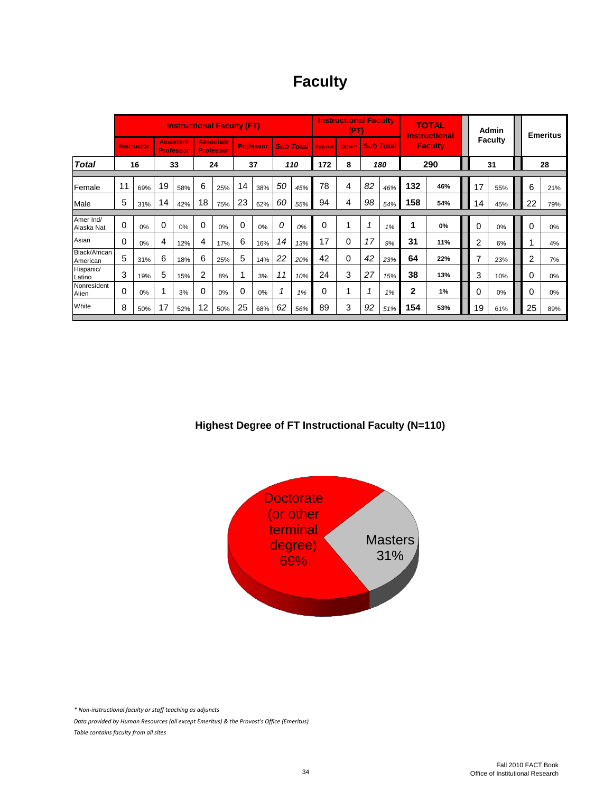| <b>Faculty</b> |
|----------------|
|----------------|

|                           | <b>Instructional Faculty (FT)</b> |     |          |                                      |    |                                      |    |                  |                          |     | <b>Instructional Faculty</b><br>(PT) |        |    |                  | <b>TOTAL</b><br><b>Instructional</b> |     | Admin          |     | <b>Emeritus</b> |     |
|---------------------------|-----------------------------------|-----|----------|--------------------------------------|----|--------------------------------------|----|------------------|--------------------------|-----|--------------------------------------|--------|----|------------------|--------------------------------------|-----|----------------|-----|-----------------|-----|
|                           | <b>Instructor</b>                 |     |          | <b>Assistant</b><br><b>Professor</b> |    | <b>Associate</b><br><b>Professor</b> |    | <b>Professor</b> | <b>Sub Total Adjunct</b> |     |                                      | Other* |    | <b>Sub Total</b> | <b>Faculty</b>                       |     | <b>Faculty</b> |     |                 |     |
| <b>Total</b>              | 16                                |     |          | 33                                   |    | 37<br>172<br>24<br>110<br>8          |    | 290<br>180       |                          | 31  |                                      | 28     |    |                  |                                      |     |                |     |                 |     |
| Female                    | 11                                | 69% | 19       | 58%                                  | 6  | 25%                                  | 14 | 38%              | 50                       | 45% | 78                                   | 4      | 82 | 46%              | 132                                  | 46% | 17             | 55% | 6               | 21% |
| Male                      | 5                                 | 31% | 14       | 42%                                  | 18 | 75%                                  | 23 | 62%              | 60                       | 55% | 94                                   | 4      | 98 | 54%              | 158                                  | 54% | 14             | 45% | 22              | 79% |
| Amer Ind/<br>Alaska Nat   | $\Omega$                          | 0%  | $\Omega$ | 0%                                   | 0  | 0%                                   | 0  | 0%               | 0                        | 0%  | 0                                    | 1      |    | 1%               |                                      | 0%  | $\Omega$       | 0%  | 0               | 0%  |
| Asian                     | 0                                 | 0%  | 4        | 12%                                  | 4  | 17%                                  | 6  | 16%              | 14                       | 13% | 17                                   | 0      | 17 | 9%               | 31                                   | 11% | $\overline{2}$ | 6%  |                 | 4%  |
| Black/African<br>American | 5                                 | 31% | 6        | 18%                                  | 6  | 25%                                  | 5  | 14%              | 22                       | 20% | 42                                   | 0      | 42 | 23%              | 64                                   | 22% | 7              | 23% | 2               | 7%  |
| Hispanic/<br>Latino       | 3                                 | 19% | 5        | 15%                                  | 2  | 8%                                   |    | 3%               | 11                       | 10% | 24                                   | 3      | 27 | 15%              | 38                                   | 13% | 3              | 10% | 0               | 0%  |
| Nonresident<br>Alien      | $\Omega$                          | 0%  |          | 3%                                   | 0  | 0%                                   | 0  | 0%               |                          | 1%  | 0                                    | 4      |    | 1%               | 2                                    | 1%  | 0              | 0%  | 0               | 0%  |
| White                     | 8                                 | 50% | 17       | 52%                                  | 12 | 50%                                  | 25 | 68%              | 62                       | 56% | 89                                   | 3      | 92 | 51%              | 154                                  | 53% | 19             | 61% | 25              | 89% |

#### **Highest Degree of FT Instructional Faculty (N=110)**



*\* Non-instructional faculty or staff teaching as adjuncts*

*Data provided by Human Resources (all except Emeritus) & the Provost's Office (Emeritus) Table contains faculty from all sites*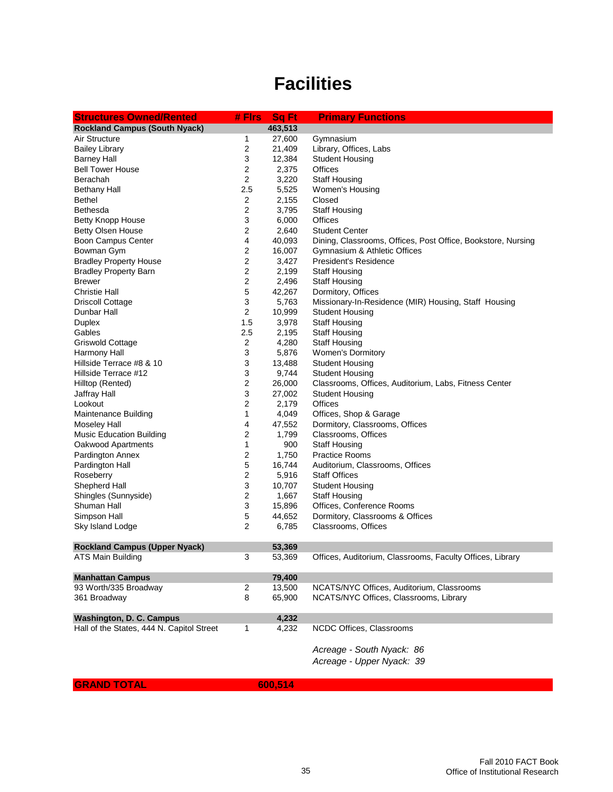# **Facilities**

| <b>Structures Owned/Rented</b>            | # Firs                  | <b>Sq Ft</b> | <b>Primary Functions</b>                                     |
|-------------------------------------------|-------------------------|--------------|--------------------------------------------------------------|
| <b>Rockland Campus (South Nyack)</b>      |                         | 463,513      |                                                              |
| Air Structure                             | 1                       | 27,600       | Gymnasium                                                    |
| <b>Bailey Library</b>                     | 2                       | 21,409       | Library, Offices, Labs                                       |
| <b>Barney Hall</b>                        | 3                       | 12,384       | <b>Student Housing</b>                                       |
| <b>Bell Tower House</b>                   | 2                       | 2,375        | Offices                                                      |
| Berachah                                  | 2                       | 3,220        | <b>Staff Housing</b>                                         |
| <b>Bethany Hall</b>                       | 2.5                     | 5,525        | Women's Housing                                              |
| Bethel                                    | 2                       | 2,155        | Closed                                                       |
| Bethesda                                  | 2                       | 3,795        | <b>Staff Housing</b>                                         |
| <b>Betty Knopp House</b>                  | 3                       | 6,000        | Offices                                                      |
| <b>Betty Olsen House</b>                  | 2                       | 2,640        | <b>Student Center</b>                                        |
| Boon Campus Center                        | 4                       | 40,093       | Dining, Classrooms, Offices, Post Office, Bookstore, Nursing |
| Bowman Gym                                | 2                       | 16,007       | Gymnasium & Athletic Offices                                 |
| <b>Bradley Property House</b>             | 2                       | 3,427        | President's Residence                                        |
| <b>Bradley Property Barn</b>              | 2                       | 2,199        | <b>Staff Housing</b>                                         |
| <b>Brewer</b>                             | 2                       | 2,496        | <b>Staff Housing</b>                                         |
| <b>Christie Hall</b>                      | 5                       | 42,267       | Dormitory, Offices                                           |
| <b>Driscoll Cottage</b>                   | 3                       | 5,763        | Missionary-In-Residence (MIR) Housing, Staff Housing         |
| Dunbar Hall                               | 2                       | 10,999       | <b>Student Housing</b>                                       |
| Duplex                                    | 1.5                     | 3,978        | <b>Staff Housing</b>                                         |
| Gables                                    | 2.5                     | 2,195        | <b>Staff Housing</b>                                         |
| Griswold Cottage                          | $\boldsymbol{2}$        | 4,280        | <b>Staff Housing</b>                                         |
| Harmony Hall                              | 3                       | 5,876        | <b>Women's Dormitory</b>                                     |
| Hillside Terrace #8 & 10                  | 3                       | 13,488       | <b>Student Housing</b>                                       |
| Hillside Terrace #12                      | 3                       | 9,744        | <b>Student Housing</b>                                       |
| Hilltop (Rented)                          | $\overline{\mathbf{c}}$ | 26,000       | Classrooms, Offices, Auditorium, Labs, Fitness Center        |
| Jaffray Hall                              | 3                       | 27,002       | <b>Student Housing</b>                                       |
| Lookout                                   | 2                       | 2,179        | Offices                                                      |
| <b>Maintenance Building</b>               | 1                       | 4,049        | Offices, Shop & Garage                                       |
| <b>Moseley Hall</b>                       | 4                       | 47,552       | Dormitory, Classrooms, Offices                               |
| <b>Music Education Building</b>           | 2                       | 1,799        | Classrooms, Offices                                          |
| Oakwood Apartments                        | 1                       | 900          | <b>Staff Housing</b>                                         |
| Pardington Annex                          | 2                       | 1,750        | <b>Practice Rooms</b>                                        |
| Pardington Hall                           | 5                       | 16,744       | Auditorium, Classrooms, Offices                              |
| Roseberry                                 | 2                       | 5,916        | <b>Staff Offices</b>                                         |
| Shepherd Hall                             | 3                       | 10,707       | <b>Student Housing</b>                                       |
| Shingles (Sunnyside)                      | 2                       | 1,667        | <b>Staff Housing</b>                                         |
| Shuman Hall                               | 3                       | 15,896       | Offices, Conference Rooms                                    |
| Simpson Hall                              | 5                       | 44,652       | Dormitory, Classrooms & Offices                              |
| Sky Island Lodge                          | 2                       | 6,785        | Classrooms, Offices                                          |
| <b>Rockland Campus (Upper Nyack)</b>      |                         | 53,369       |                                                              |
| ATS Main Building                         | 3                       | 53,369       | Offices, Auditorium, Classrooms, Faculty Offices, Library    |
|                                           |                         |              |                                                              |
| <b>Manhattan Campus</b>                   |                         | 79,400       |                                                              |
| 93 Worth/335 Broadway                     | $\overline{2}$          | 13,500       | NCATS/NYC Offices, Auditorium, Classrooms                    |
| 361 Broadway                              | 8                       | 65,900       | NCATS/NYC Offices, Classrooms, Library                       |
| <b>Washington, D. C. Campus</b>           |                         | 4,232        |                                                              |
| Hall of the States, 444 N. Capitol Street | 1                       | 4,232        | NCDC Offices, Classrooms                                     |
|                                           |                         |              | Acreage - South Nyack: 86                                    |
|                                           |                         |              | Acreage - Upper Nyack: 39                                    |
|                                           |                         |              |                                                              |

**GRAND TOTAL**

**600,514**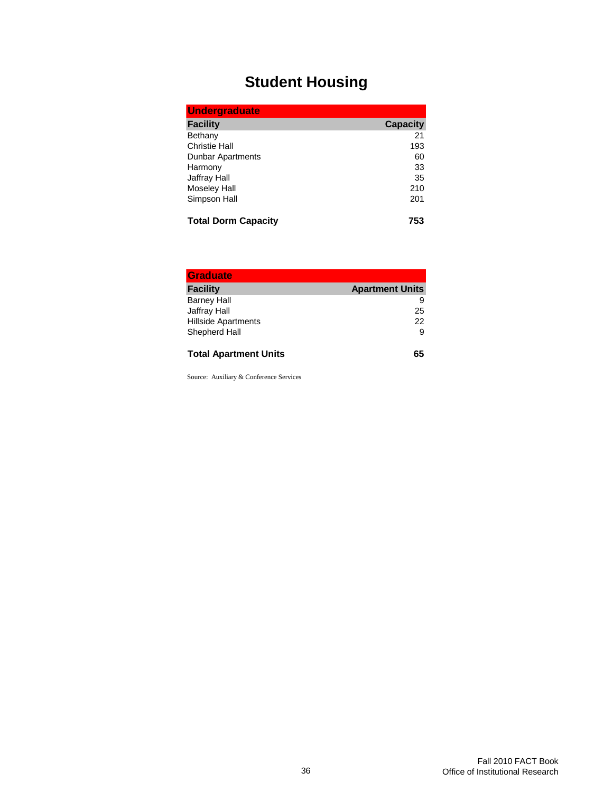# **Student Housing**

| <b>Undergraduate</b>       |                 |  |  |  |
|----------------------------|-----------------|--|--|--|
| <b>Facility</b>            | <b>Capacity</b> |  |  |  |
| Bethany                    | 21              |  |  |  |
| <b>Christie Hall</b>       | 193             |  |  |  |
| <b>Dunbar Apartments</b>   | 60              |  |  |  |
| Harmony                    | 33              |  |  |  |
| <b>Jaffray Hall</b>        | 35              |  |  |  |
| <b>Moseley Hall</b>        | 210             |  |  |  |
| Simpson Hall               | 201             |  |  |  |
| <b>Total Dorm Capacity</b> |                 |  |  |  |

| <b>Graduate</b>              |                        |
|------------------------------|------------------------|
| <b>Facility</b>              | <b>Apartment Units</b> |
| <b>Barney Hall</b>           | 9                      |
| Jaffray Hall                 | 25                     |
| <b>Hillside Apartments</b>   | 22                     |
| Shepherd Hall                | 9                      |
| <b>Total Apartment Units</b> | 65                     |

Source: Auxiliary & Conference Services